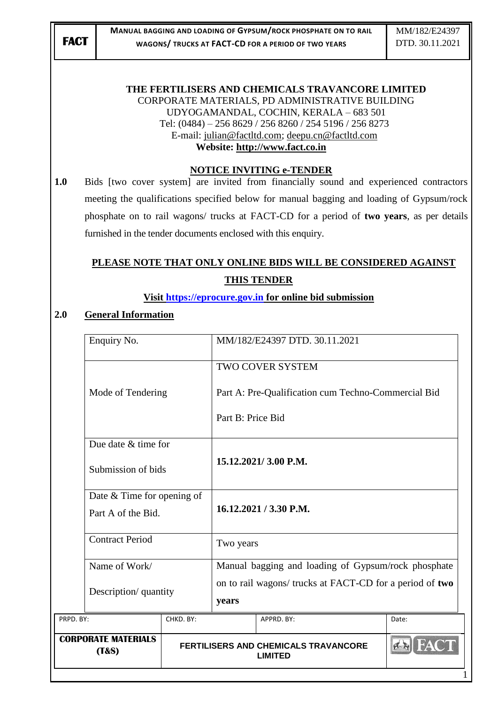#### **THE FERTILISERS AND CHEMICALS TRAVANCORE LIMITED** CORPORATE MATERIALS, PD ADMINISTRATIVE BUILDING UDYOGAMANDAL, COCHIN, KERALA – 683 501 Tel: (0484) – 256 8629 / 256 8260 / 254 5196 / 256 8273 E-mail: [julian@factltd.com;](mailto:julian@factltd.com) [deepu.cn@factltd.com](mailto:deepu.cn@factltd.com) **Website: [http://www.fact.co.in](http://www.fact.co.in/)**

#### **NOTICE INVITING e-TENDER**

**1.0** Bids [two cover system] are invited from financially sound and experienced contractors meeting the qualifications specified below for manual bagging and loading of Gypsum/rock phosphate on to rail wagons/ trucks at FACT-CD for a period of **two years**, as per details furnished in the tender documents enclosed with this enquiry.

# **PLEASE NOTE THAT ONLY ONLINE BIDS WILL BE CONSIDERED AGAINST THIS TENDER**

#### **Visit [https://eprocure.gov.in](https://eprocure.gov.in/) for online bid submission**

#### **2.0 General Information**

| <b>CORPORATE MATERIALS</b><br>(T&S) |                                                  |                                                     | <b>FERTILISERS AND CHEMICALS TRAVANCORE</b><br><b>LIMITED</b>     | A     |  |
|-------------------------------------|--------------------------------------------------|-----------------------------------------------------|-------------------------------------------------------------------|-------|--|
| PRPD. BY:                           | CHKD. BY:                                        |                                                     | APPRD. BY:                                                        | Date: |  |
|                                     | Description/ quantity                            |                                                     | on to rail wagons/ trucks at FACT-CD for a period of two<br>years |       |  |
| Name of Work/                       |                                                  | Manual bagging and loading of Gypsum/rock phosphate |                                                                   |       |  |
| <b>Contract Period</b>              |                                                  |                                                     | Two years                                                         |       |  |
|                                     | Date & Time for opening of<br>Part A of the Bid. |                                                     | 16.12.2021 / 3.30 P.M.                                            |       |  |
|                                     | Due date & time for<br>Submission of bids        |                                                     | 15.12.2021/3.00 P.M.                                              |       |  |
|                                     |                                                  | Part B: Price Bid                                   |                                                                   |       |  |
|                                     | Mode of Tendering                                |                                                     | Part A: Pre-Qualification cum Techno-Commercial Bid               |       |  |
|                                     |                                                  |                                                     | TWO COVER SYSTEM                                                  |       |  |
| Enquiry No.                         | MM/182/E24397 DTD, 30.11.2021                    |                                                     |                                                                   |       |  |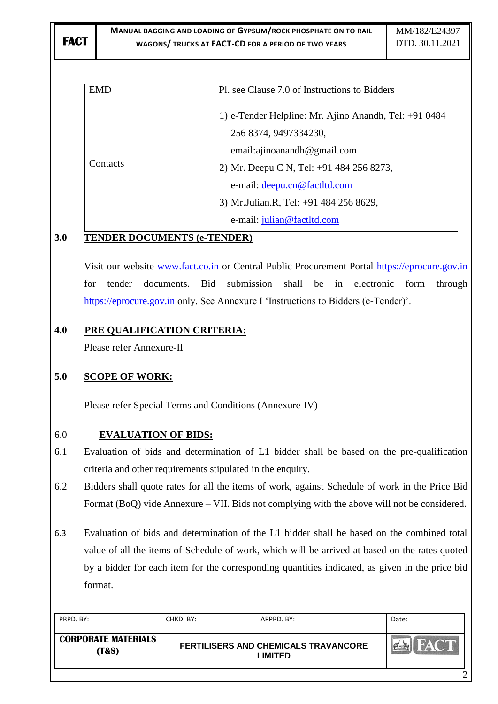| <b>EMD</b> | Pl. see Clause 7.0 of Instructions to Bidders         |
|------------|-------------------------------------------------------|
|            | 1) e-Tender Helpline: Mr. Ajino Anandh, Tel: +91 0484 |
|            | 256 8374, 9497334230,                                 |
|            | email:ajinoanandh@gmail.com                           |
| Contacts   | 2) Mr. Deepu C N, Tel: +91 484 256 8273,              |
|            | e-mail: deepu.cn@factltd.com                          |
|            | 3) Mr. Julian. R, Tel: +91 484 256 8629,              |
|            | e-mail: julian@factltd.com                            |

# **3.0 TENDER DOCUMENTS (e-TENDER)**

Visit our website [www.fact.co.in](http://www.fact.co.in/) or Central Public Procurement Portal [https://eprocure.gov.in](https://eprocure.gov.in/) for tender documents. Bid submission shall be in electronic form through [https://eprocure.gov.in](https://eprocure.gov.in/) only. See Annexure I 'Instructions to Bidders (e-Tender)'.

# **4.0 PRE QUALIFICATION CRITERIA:**

Please refer Annexure-II

# **5.0 SCOPE OF WORK:**

Please refer Special Terms and Conditions (Annexure-IV)

## 6.0 **EVALUATION OF BIDS:**

- 6.1 Evaluation of bids and determination of L1 bidder shall be based on the pre-qualification criteria and other requirements stipulated in the enquiry.
- 6.2 Bidders shall quote rates for all the items of work, against Schedule of work in the Price Bid Format (BoQ) vide Annexure – VII. Bids not complying with the above will not be considered.
- 6.3 Evaluation of bids and determination of the L1 bidder shall be based on the combined total value of all the items of Schedule of work, which will be arrived at based on the rates quoted by a bidder for each item for the corresponding quantities indicated, as given in the price bid format.

| PRPD. BY:                                      | CHKD. BY:                                                     | APPRD. BY: | Date: |
|------------------------------------------------|---------------------------------------------------------------|------------|-------|
| <b>CORPORATE MATERIALS</b><br><b>(T&amp;S)</b> | <b>FERTILISERS AND CHEMICALS TRAVANCORE</b><br><b>LIMITED</b> |            | HACT  |
|                                                |                                                               |            |       |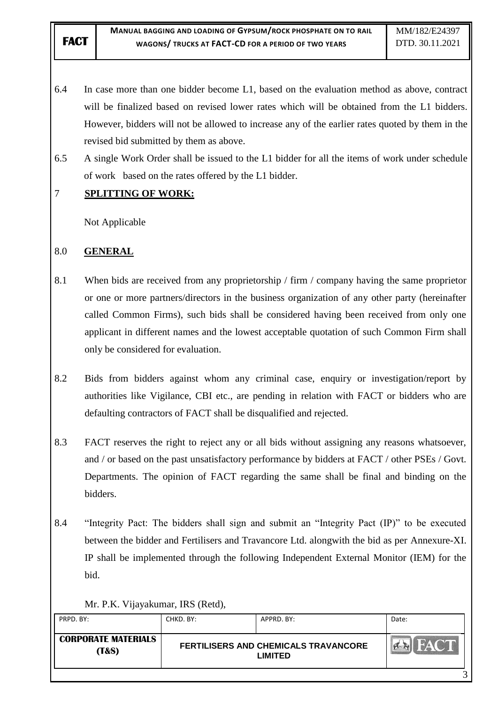- 6.4 In case more than one bidder become L1, based on the evaluation method as above, contract will be finalized based on revised lower rates which will be obtained from the L1 bidders. However, bidders will not be allowed to increase any of the earlier rates quoted by them in the revised bid submitted by them as above.
- 6.5 A single Work Order shall be issued to the L1 bidder for all the items of work under schedule of work based on the rates offered by the L1 bidder.

# 7 **SPLITTING OF WORK:**

Not Applicable

## 8.0 **GENERAL**

- 8.1 When bids are received from any proprietorship / firm / company having the same proprietor or one or more partners/directors in the business organization of any other party (hereinafter called Common Firms), such bids shall be considered having been received from only one applicant in different names and the lowest acceptable quotation of such Common Firm shall only be considered for evaluation.
- 8.2 Bids from bidders against whom any criminal case, enquiry or investigation/report by authorities like Vigilance, CBI etc., are pending in relation with FACT or bidders who are defaulting contractors of FACT shall be disqualified and rejected.
- 8.3 FACT reserves the right to reject any or all bids without assigning any reasons whatsoever, and / or based on the past unsatisfactory performance by bidders at FACT / other PSEs / Govt. Departments. The opinion of FACT regarding the same shall be final and binding on the bidders.
- 8.4 "Integrity Pact: The bidders shall sign and submit an "Integrity Pact (IP)" to be executed between the bidder and Fertilisers and Travancore Ltd. alongwith the bid as per Annexure-XI. IP shall be implemented through the following Independent External Monitor (IEM) for the bid.

#### Mr. P.K. Vijayakumar, IRS (Retd),

| PRPD. BY:                                      | CHKD. BY: | APPRD, BY:                                             | Date: |
|------------------------------------------------|-----------|--------------------------------------------------------|-------|
| <b>CORPORATE MATERIALS</b><br><b>(T&amp;S)</b> |           | FERTILISERS AND CHEMICALS TRAVANCORE<br><b>LIMITED</b> | HACT  |
|                                                |           |                                                        |       |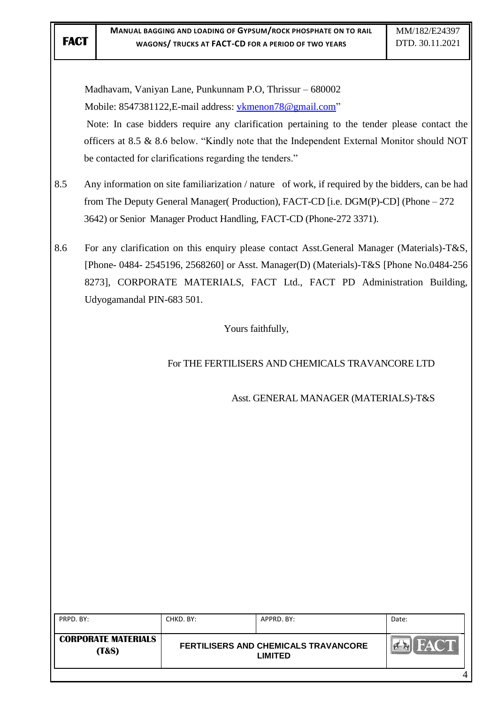4

| 8.5<br>8.6 | Udyogamandal PIN-683 501.  | Madhavam, Vaniyan Lane, Punkunnam P.O, Thrissur - 680002<br>Mobile: 8547381122, E-mail address: vkmenon78@gmail.com"<br>be contacted for clarifications regarding the tenders." | Note: In case bidders require any clarification pertaining to the tender please contact the<br>officers at 8.5 & 8.6 below. "Kindly note that the Independent External Monitor should NOT<br>Any information on site familiarization / nature of work, if required by the bidders, can be had<br>from The Deputy General Manager (Production), FACT-CD [i.e. DGM(P)-CD] (Phone – 272<br>3642) or Senior Manager Product Handling, FACT-CD (Phone-272 3371).<br>For any clarification on this enquiry please contact Asst.General Manager (Materials)-T&S,<br>[Phone- 0484- 2545196, 2568260] or Asst. Manager(D) (Materials)-T&S [Phone No.0484-256<br>8273], CORPORATE MATERIALS, FACT Ltd., FACT PD Administration Building, |                      |
|------------|----------------------------|---------------------------------------------------------------------------------------------------------------------------------------------------------------------------------|--------------------------------------------------------------------------------------------------------------------------------------------------------------------------------------------------------------------------------------------------------------------------------------------------------------------------------------------------------------------------------------------------------------------------------------------------------------------------------------------------------------------------------------------------------------------------------------------------------------------------------------------------------------------------------------------------------------------------------|----------------------|
|            |                            |                                                                                                                                                                                 | Yours faithfully,                                                                                                                                                                                                                                                                                                                                                                                                                                                                                                                                                                                                                                                                                                              |                      |
|            |                            |                                                                                                                                                                                 | For THE FERTILISERS AND CHEMICALS TRAVANCORE LTD                                                                                                                                                                                                                                                                                                                                                                                                                                                                                                                                                                                                                                                                               |                      |
|            |                            |                                                                                                                                                                                 | Asst. GENERAL MANAGER (MATERIALS)-T&S                                                                                                                                                                                                                                                                                                                                                                                                                                                                                                                                                                                                                                                                                          |                      |
| PRPD. BY:  |                            | CHKD. BY:                                                                                                                                                                       | APPRD. BY:                                                                                                                                                                                                                                                                                                                                                                                                                                                                                                                                                                                                                                                                                                                     |                      |
|            | <b>CORPORATE MATERIALS</b> |                                                                                                                                                                                 | <b>FERTILISERS AND CHEMICALS TRAVANCORE</b>                                                                                                                                                                                                                                                                                                                                                                                                                                                                                                                                                                                                                                                                                    | Date:<br><b>FACT</b> |
|            | (T&S)                      |                                                                                                                                                                                 | <b>LIMITED</b>                                                                                                                                                                                                                                                                                                                                                                                                                                                                                                                                                                                                                                                                                                                 |                      |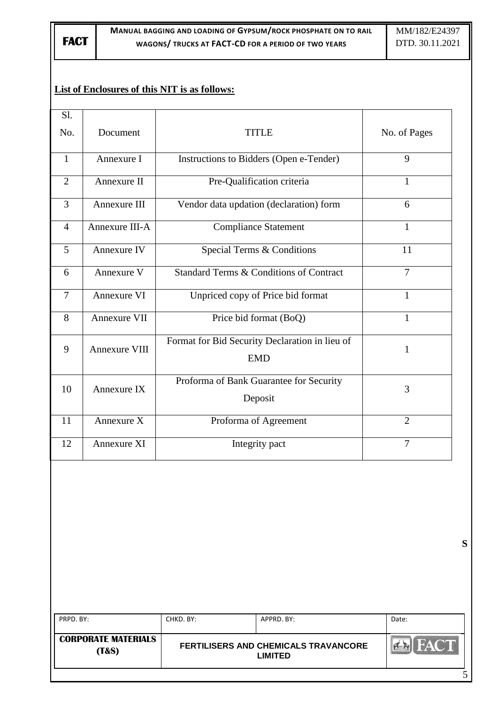**FACT**

## **List of Enclosures of this NIT is as follows:**

| Sl.            |                         |                                                              |                |
|----------------|-------------------------|--------------------------------------------------------------|----------------|
| No.            | Document                | <b>TITLE</b>                                                 | No. of Pages   |
| $\mathbf{1}$   | Annexure I              | Instructions to Bidders (Open e-Tender)                      | 9              |
| $\overline{2}$ | Annexure II             | Pre-Qualification criteria                                   | $\mathbf{1}$   |
| $\overline{3}$ | Annexure III            | Vendor data updation (declaration) form                      | 6              |
| $\overline{4}$ | Annexure III-A          | <b>Compliance Statement</b>                                  | $\mathbf{1}$   |
| 5              | Annexure IV             | Special Terms & Conditions                                   | 11             |
| 6              | Annexure V              | Standard Terms & Conditions of Contract                      | 7              |
| 7              | Annexure VI             | Unpriced copy of Price bid format                            | 1              |
| 8              | Annexure VII            | Price bid format (BoQ)                                       | $\mathbf{1}$   |
| 9              | Annexure VIII           | Format for Bid Security Declaration in lieu of<br><b>EMD</b> | 1              |
| 10             | Annexure IX             | Proforma of Bank Guarantee for Security<br>Deposit           | 3              |
| 11             | Annexure $\overline{X}$ | Proforma of Agreement                                        | $\overline{2}$ |
| 12             | Annexure XI             | Integrity pact                                               | $\overline{7}$ |
|                |                         |                                                              |                |

**S**

PRPD. BY: CHKD. BY: APPRD. BY: Date: **CORPORATE MATERIALS FACT FERTILISERS AND CHEMICALS TRAVANCORE**   $\mathbf{K}$ **(T&S) LIMITED** 5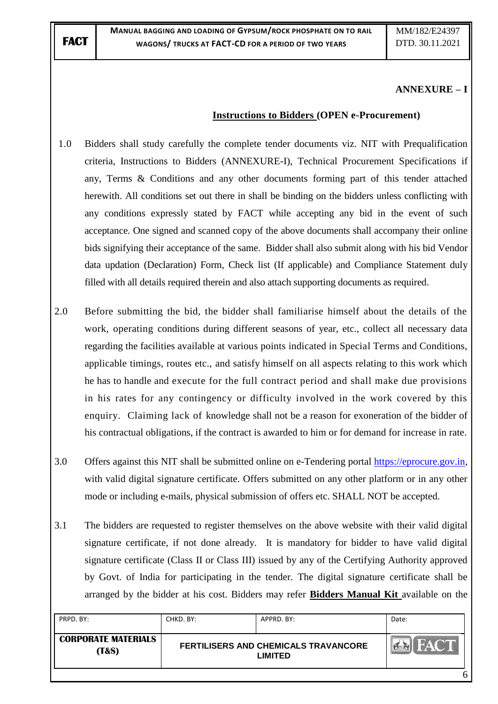#### **ANNEXURE – I**

#### **Instructions to Bidders (OPEN e-Procurement)**

- 1.0 Bidders shall study carefully the complete tender documents viz. NIT with Prequalification criteria, Instructions to Bidders (ANNEXURE-I), Technical Procurement Specifications if any, Terms & Conditions and any other documents forming part of this tender attached herewith. All conditions set out there in shall be binding on the bidders unless conflicting with any conditions expressly stated by FACT while accepting any bid in the event of such acceptance. One signed and scanned copy of the above documents shall accompany their online bids signifying their acceptance of the same. Bidder shall also submit along with his bid Vendor data updation (Declaration) Form, Check list (If applicable) and Compliance Statement duly filled with all details required therein and also attach supporting documents as required.
- 2.0 Before submitting the bid, the bidder shall familiarise himself about the details of the work, operating conditions during different seasons of year, etc., collect all necessary data regarding the facilities available at various points indicated in Special Terms and Conditions, applicable timings, routes etc., and satisfy himself on all aspects relating to this work which he has to handle and execute for the full contract period and shall make due provisions in his rates for any contingency or difficulty involved in the work covered by this enquiry. Claiming lack of knowledge shall not be a reason for exoneration of the bidder of his contractual obligations, if the contract is awarded to him or for demand for increase in rate.
- 3.0 Offers against this NIT shall be submitted online on e-Tendering portal [https://eprocure.gov.in,](https://eprocure.gov.in/) with valid digital signature certificate. Offers submitted on any other platform or in any other mode or including e-mails, physical submission of offers etc. SHALL NOT be accepted.
- 3.1 The bidders are requested to register themselves on the above website with their valid digital signature certificate, if not done already. It is mandatory for bidder to have valid digital signature certificate (Class II or Class III) issued by any of the Certifying Authority approved by Govt. of India for participating in the tender. The digital signature certificate shall be arranged by the bidder at his cost. Bidders may refer **Bidders Manual Kit** available on the

| PRPD. BY:                                      | CHKD. BY: | APPRD. BY:                                             | Date:       |
|------------------------------------------------|-----------|--------------------------------------------------------|-------------|
| <b>CORPORATE MATERIALS</b><br><b>(T&amp;S)</b> |           | FERTILISERS AND CHEMICALS TRAVANCORE<br><b>LIMITED</b> | <b>FACT</b> |
|                                                |           |                                                        |             |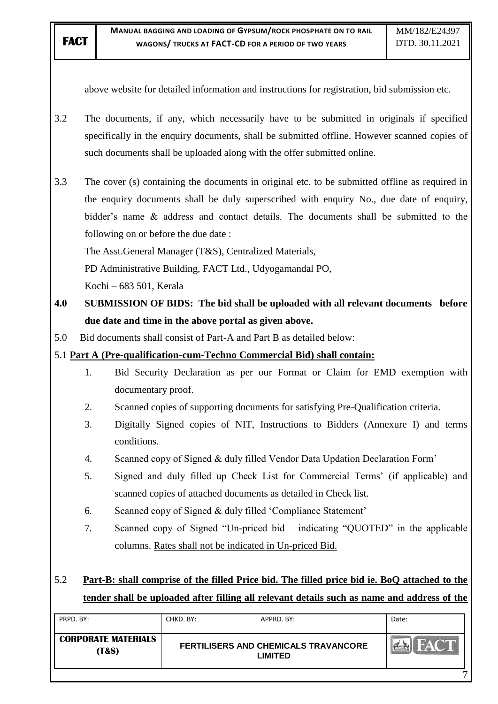above website for detailed information and instructions for registration, bid submission etc.

- 3.2 The documents, if any, which necessarily have to be submitted in originals if specified specifically in the enquiry documents, shall be submitted offline. However scanned copies of such documents shall be uploaded along with the offer submitted online.
- 3.3 The cover (s) containing the documents in original etc. to be submitted offline as required in the enquiry documents shall be duly superscribed with enquiry No., due date of enquiry, bidder"s name & address and contact details. The documents shall be submitted to the following on or before the due date :

The Asst.General Manager (T&S), Centralized Materials,

PD Administrative Building, FACT Ltd., Udyogamandal PO,

Kochi – 683 501, Kerala

- **4.0 SUBMISSION OF BIDS: The bid shall be uploaded with all relevant documents before due date and time in the above portal as given above.**
- 5.0 Bid documents shall consist of Part-A and Part B as detailed below:

## 5.1 **Part A (Pre-qualification-cum-Techno Commercial Bid) shall contain:**

- 1. Bid Security Declaration as per our Format or Claim for EMD exemption with documentary proof.
- 2. Scanned copies of supporting documents for satisfying Pre-Qualification criteria.
- 3. Digitally Signed copies of NIT, Instructions to Bidders (Annexure I) and terms conditions.
- 4. Scanned copy of Signed & duly filled Vendor Data Updation Declaration Form"
- 5. Signed and duly filled up Check List for Commercial Terms" (if applicable) and scanned copies of attached documents as detailed in Check list.
- 6. Scanned copy of Signed & duly filled "Compliance Statement"
- 7. Scanned copy of Signed "Un-priced bid indicating "QUOTED" in the applicable columns. Rates shall not be indicated in Un-priced Bid.

# 5.2 **Part-B: shall comprise of the filled Price bid. The filled price bid ie. BoQ attached to the tender shall be uploaded after filling all relevant details such as name and address of the**

| PRPD. BY:                                      | CHKD. BY: | APPRD, BY:                                             | Date: |
|------------------------------------------------|-----------|--------------------------------------------------------|-------|
| <b>CORPORATE MATERIALS</b><br><b>(T&amp;S)</b> |           | FERTILISERS AND CHEMICALS TRAVANCORE<br><b>LIMITED</b> | HACT  |
|                                                |           |                                                        |       |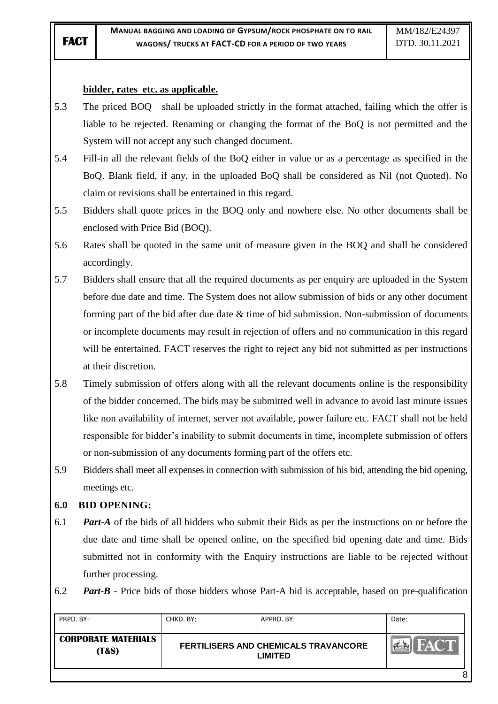#### **bidder, rates etc. as applicable.**

- 5.3 The priced BOQ shall be uploaded strictly in the format attached, failing which the offer is liable to be rejected. Renaming or changing the format of the BoQ is not permitted and the System will not accept any such changed document.
- 5.4 Fill-in all the relevant fields of the BoQ either in value or as a percentage as specified in the BoQ. Blank field, if any, in the uploaded BoQ shall be considered as Nil (not Quoted). No claim or revisions shall be entertained in this regard.
- 5.5 Bidders shall quote prices in the BOQ only and nowhere else. No other documents shall be enclosed with Price Bid (BOQ).
- 5.6 Rates shall be quoted in the same unit of measure given in the BOQ and shall be considered accordingly.
- 5.7 Bidders shall ensure that all the required documents as per enquiry are uploaded in the System before due date and time. The System does not allow submission of bids or any other document forming part of the bid after due date & time of bid submission. Non-submission of documents or incomplete documents may result in rejection of offers and no communication in this regard will be entertained. FACT reserves the right to reject any bid not submitted as per instructions at their discretion.
- 5.8 Timely submission of offers along with all the relevant documents online is the responsibility of the bidder concerned. The bids may be submitted well in advance to avoid last minute issues like non availability of internet, server not available, power failure etc. FACT shall not be held responsible for bidder"s inability to submit documents in time, incomplete submission of offers or non-submission of any documents forming part of the offers etc.
- 5.9 Bidders shall meet all expenses in connection with submission of his bid, attending the bid opening, meetings etc.

#### **6.0 BID OPENING:**

- 6.1 *Part-A* of the bids of all bidders who submit their Bids as per the instructions on or before the due date and time shall be opened online, on the specified bid opening date and time. Bids submitted not in conformity with the Enquiry instructions are liable to be rejected without further processing.
- 6.2 *Part-B* Price bids of those bidders whose Part-A bid is acceptable, based on pre-qualification

| PRPD, BY:                           | CHKD. BY:                                              | APPRD. BY: | Date: |
|-------------------------------------|--------------------------------------------------------|------------|-------|
| <b>CORPORATE MATERIALS</b><br>(T&S) | FERTILISERS AND CHEMICALS TRAVANCORE<br><b>LIMITED</b> |            | HACT  |
|                                     |                                                        |            |       |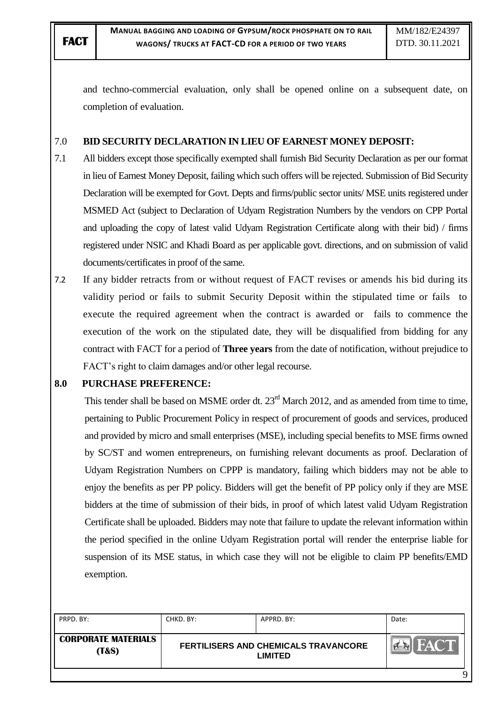and techno-commercial evaluation, only shall be opened online on a subsequent date, on completion of evaluation.

## 7.0 **BID SECURITY DECLARATION IN LIEU OF EARNEST MONEY DEPOSIT:**

- 7.1 All bidders except those specifically exempted shall furnish Bid Security Declaration as per our format in lieu of Earnest Money Deposit, failing which such offers will be rejected. Submission of Bid Security Declaration will be exempted for Govt. Depts and firms/public sector units/ MSE units registered under MSMED Act (subject to Declaration of Udyam Registration Numbers by the vendors on CPP Portal and uploading the copy of latest valid Udyam Registration Certificate along with their bid) / firms registered under NSIC and Khadi Board as per applicable govt. directions, and on submission of valid documents/certificates in proof of the same.
- 7.2 If any bidder retracts from or without request of FACT revises or amends his bid during its validity period or fails to submit Security Deposit within the stipulated time or fails to execute the required agreement when the contract is awarded or fails to commence the execution of the work on the stipulated date, they will be disqualified from bidding for any contract with FACT for a period of **Three years** from the date of notification, without prejudice to FACT"s right to claim damages and/or other legal recourse.

#### **8.0 PURCHASE PREFERENCE:**

This tender shall be based on MSME order dt.  $23<sup>rd</sup>$  March 2012, and as amended from time to time, pertaining to Public Procurement Policy in respect of procurement of goods and services, produced and provided by micro and small enterprises (MSE), including special benefits to MSE firms owned by SC/ST and women entrepreneurs, on furnishing relevant documents as proof. Declaration of Udyam Registration Numbers on CPPP is mandatory, failing which bidders may not be able to enjoy the benefits as per PP policy. Bidders will get the benefit of PP policy only if they are MSE bidders at the time of submission of their bids, in proof of which latest valid Udyam Registration Certificate shall be uploaded. Bidders may note that failure to update the relevant information within the period specified in the online Udyam Registration portal will render the enterprise liable for suspension of its MSE status, in which case they will not be eligible to claim PP benefits/EMD exemption.

| PRPD. BY:                                     | CHKD. BY:                                              | APPRD. BY: | Date: |
|-----------------------------------------------|--------------------------------------------------------|------------|-------|
| <b>CORPORATE MATERIALS</b><br><b>T&amp;S)</b> | FERTILISERS AND CHEMICALS TRAVANCORE<br><b>LIMITED</b> |            |       |
|                                               |                                                        |            |       |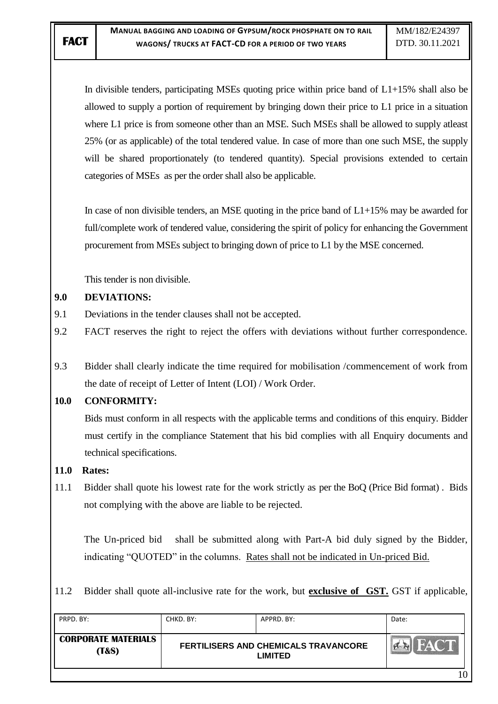In divisible tenders, participating MSEs quoting price within price band of L1+15% shall also be allowed to supply a portion of requirement by bringing down their price to L1 price in a situation where L1 price is from someone other than an MSE. Such MSEs shall be allowed to supply at least 25% (or as applicable) of the total tendered value. In case of more than one such MSE, the supply will be shared proportionately (to tendered quantity). Special provisions extended to certain categories of MSEs as per the order shall also be applicable.

In case of non divisible tenders, an MSE quoting in the price band of  $L1+15\%$  may be awarded for full/complete work of tendered value, considering the spirit of policy for enhancing the Government procurement from MSEs subject to bringing down of price to L1 by the MSE concerned.

This tender is non divisible.

## **9.0 DEVIATIONS:**

- 9.1 Deviations in the tender clauses shall not be accepted.
- 9.2 FACT reserves the right to reject the offers with deviations without further correspondence.
- 9.3 Bidder shall clearly indicate the time required for mobilisation /commencement of work from the date of receipt of Letter of Intent (LOI) / Work Order.

## **10.0 CONFORMITY:**

Bids must conform in all respects with the applicable terms and conditions of this enquiry. Bidder must certify in the compliance Statement that his bid complies with all Enquiry documents and technical specifications.

## **11.0 Rates:**

11.1 Bidder shall quote his lowest rate for the work strictly as per the BoQ (Price Bid format) . Bids not complying with the above are liable to be rejected.

The Un-priced bid shall be submitted along with Part-A bid duly signed by the Bidder, indicating "QUOTED" in the columns. Rates shall not be indicated in Un-priced Bid.

11.2 Bidder shall quote all-inclusive rate for the work, but **exclusive of GST.** GST if applicable,

| PRPD. BY:                                      | CHKD. BY: | APPRD, BY:                                             | Date:       |
|------------------------------------------------|-----------|--------------------------------------------------------|-------------|
| <b>CORPORATE MATERIALS</b><br><b>(T&amp;S)</b> |           | FERTILISERS AND CHEMICALS TRAVANCORE<br><b>LIMITED</b> | <b>FACT</b> |
|                                                |           |                                                        |             |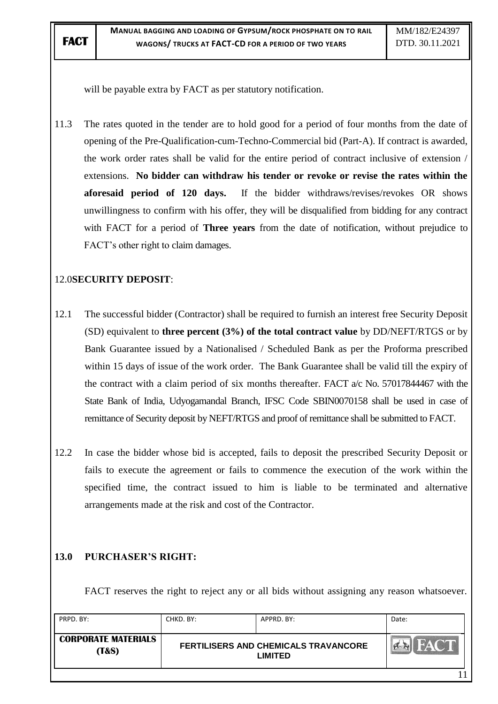will be payable extra by FACT as per statutory notification.

11.3 The rates quoted in the tender are to hold good for a period of four months from the date of opening of the Pre-Qualification-cum-Techno-Commercial bid (Part-A). If contract is awarded, the work order rates shall be valid for the entire period of contract inclusive of extension / extensions. **No bidder can withdraw his tender or revoke or revise the rates within the aforesaid period of 120 days.** If the bidder withdraws/revises/revokes OR shows unwillingness to confirm with his offer, they will be disqualified from bidding for any contract with FACT for a period of **Three years** from the date of notification, without prejudice to FACT"s other right to claim damages.

# 12.0**SECURITY DEPOSIT**:

- 12.1 The successful bidder (Contractor) shall be required to furnish an interest free Security Deposit (SD) equivalent to **three percent (3%) of the total contract value** by DD/NEFT/RTGS or by Bank Guarantee issued by a Nationalised / Scheduled Bank as per the Proforma prescribed within 15 days of issue of the work order. The Bank Guarantee shall be valid till the expiry of the contract with a claim period of six months thereafter. FACT a/c No. 57017844467 with the State Bank of India, Udyogamandal Branch, IFSC Code SBIN0070158 shall be used in case of remittance of Security deposit by NEFT/RTGS and proof of remittance shall be submitted to FACT.
- 12.2 In case the bidder whose bid is accepted, fails to deposit the prescribed Security Deposit or fails to execute the agreement or fails to commence the execution of the work within the specified time, the contract issued to him is liable to be terminated and alternative arrangements made at the risk and cost of the Contractor.

## **13.0 PURCHASER"S RIGHT:**

FACT reserves the right to reject any or all bids without assigning any reason whatsoever.

| PRPD. BY:                                      | CHKD. BY: | APPRD. BY:                                                    | Date: |
|------------------------------------------------|-----------|---------------------------------------------------------------|-------|
| <b>CORPORATE MATERIALS</b><br><b>(T&amp;S)</b> |           | <b>FERTILISERS AND CHEMICALS TRAVANCORE</b><br><b>LIMITED</b> |       |
|                                                |           |                                                               |       |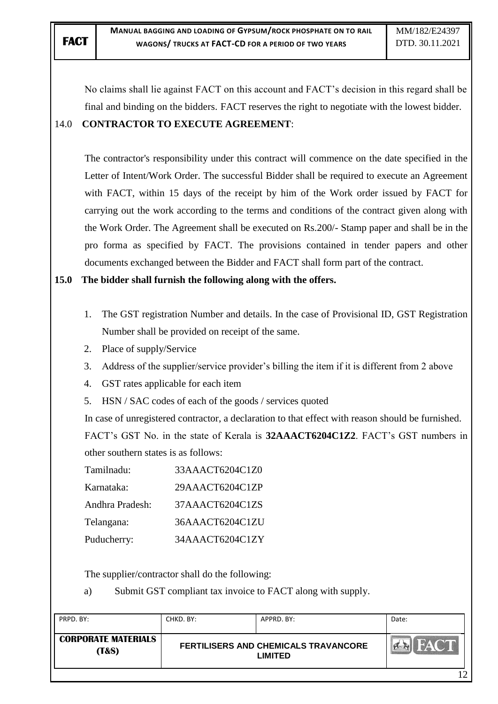No claims shall lie against FACT on this account and FACT"s decision in this regard shall be final and binding on the bidders. FACT reserves the right to negotiate with the lowest bidder. 14.0 **CONTRACTOR TO EXECUTE AGREEMENT**:

The contractor's responsibility under this contract will commence on the date specified in the Letter of Intent/Work Order. The successful Bidder shall be required to execute an Agreement with FACT, within 15 days of the receipt by him of the Work order issued by FACT for carrying out the work according to the terms and conditions of the contract given along with the Work Order. The Agreement shall be executed on Rs.200/- Stamp paper and shall be in the pro forma as specified by FACT. The provisions contained in tender papers and other documents exchanged between the Bidder and FACT shall form part of the contract.

**15.0 The bidder shall furnish the following along with the offers.**

- 1. The GST registration Number and details. In the case of Provisional ID, GST Registration Number shall be provided on receipt of the same.
- 2. Place of supply/Service
- 3. Address of the supplier/service provider's billing the item if it is different from 2 above
- 4. GST rates applicable for each item
- 5. HSN / SAC codes of each of the goods / services quoted

In case of unregistered contractor, a declaration to that effect with reason should be furnished. FACT"s GST No. in the state of Kerala is **32AAACT6204C1Z2**. FACT"s GST numbers in other southern states is as follows:

| Tamilnadu:      | 33AAACT6204C1Z0 |
|-----------------|-----------------|
| Karnataka:      | 29AAACT6204C1ZP |
| Andhra Pradesh: | 37AAACT6204C1ZS |
| Telangana:      | 36AAACT6204C1ZU |
| Puducherry:     | 34AAACT6204C1ZY |

The supplier/contractor shall do the following:

a) Submit GST compliant tax invoice to FACT along with supply.

| PRPD. BY:                           | CHKD. BY: | APPRD. BY:                                             | Date:       |
|-------------------------------------|-----------|--------------------------------------------------------|-------------|
| <b>CORPORATE MATERIALS</b><br>(T&S) |           | FERTILISERS AND CHEMICALS TRAVANCORE<br><b>LIMITED</b> | <b>FACT</b> |
|                                     |           |                                                        |             |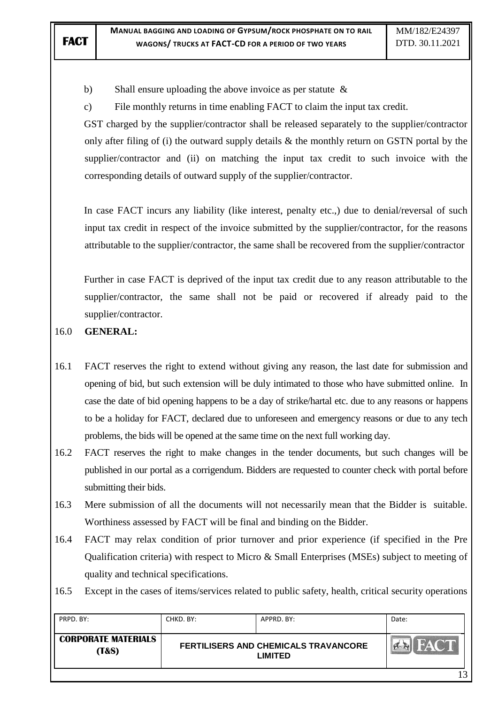b) Shall ensure uploading the above invoice as per statute &

c) File monthly returns in time enabling FACT to claim the input tax credit.

GST charged by the supplier/contractor shall be released separately to the supplier/contractor only after filing of (i) the outward supply details & the monthly return on GSTN portal by the supplier/contractor and (ii) on matching the input tax credit to such invoice with the corresponding details of outward supply of the supplier/contractor.

In case FACT incurs any liability (like interest, penalty etc.,) due to denial/reversal of such input tax credit in respect of the invoice submitted by the supplier/contractor, for the reasons attributable to the supplier/contractor, the same shall be recovered from the supplier/contractor

Further in case FACT is deprived of the input tax credit due to any reason attributable to the supplier/contractor, the same shall not be paid or recovered if already paid to the supplier/contractor.

## 16.0 **GENERAL:**

16.1 FACT reserves the right to extend without giving any reason, the last date for submission and opening of bid, but such extension will be duly intimated to those who have submitted online. In case the date of bid opening happens to be a day of strike/hartal etc. due to any reasons or happens to be a holiday for FACT, declared due to unforeseen and emergency reasons or due to any tech problems, the bids will be opened at the same time on the next full working day.

- 16.2 FACT reserves the right to make changes in the tender documents, but such changes will be published in our portal as a corrigendum. Bidders are requested to counter check with portal before submitting their bids.
- 16.3 Mere submission of all the documents will not necessarily mean that the Bidder is suitable. Worthiness assessed by FACT will be final and binding on the Bidder.
- 16.4 FACT may relax condition of prior turnover and prior experience (if specified in the Pre Qualification criteria) with respect to Micro & Small Enterprises (MSEs) subject to meeting of quality and technical specifications.

16.5 Except in the cases of items/services related to public safety, health, critical security operations

| PRPD, BY:                           | CHKD. BY: | APPRD. BY:                                             | Date: |
|-------------------------------------|-----------|--------------------------------------------------------|-------|
| <b>CORPORATE MATERIALS</b><br>(T&S) |           | FERTILISERS AND CHEMICALS TRAVANCORE<br><b>LIMITED</b> | EACT  |
|                                     |           |                                                        | 12    |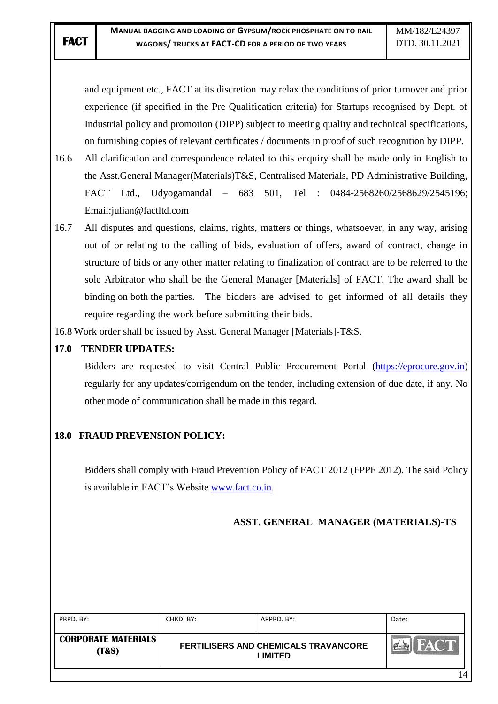and equipment etc., FACT at its discretion may relax the conditions of prior turnover and prior experience (if specified in the Pre Qualification criteria) for Startups recognised by Dept. of Industrial policy and promotion (DIPP) subject to meeting quality and technical specifications, on furnishing copies of relevant certificates / documents in proof of such recognition by DIPP.

- 16.6 All clarification and correspondence related to this enquiry shall be made only in English to the Asst.General Manager(Materials)T&S, Centralised Materials, PD Administrative Building, FACT Ltd., Udyogamandal – 683 501, Tel : 0484-2568260/2568629/2545196; Email:julian@factltd.com
- 16.7 All disputes and questions, claims, rights, matters or things, whatsoever, in any way, arising out of or relating to the calling of bids, evaluation of offers, award of contract, change in structure of bids or any other matter relating to finalization of contract are to be referred to the sole Arbitrator who shall be the General Manager [Materials] of FACT. The award shall be binding on both the parties. The bidders are advised to get informed of all details they require regarding the work before submitting their bids.
- 16.8 Work order shall be issued by Asst. General Manager [Materials]-T&S.

## **17.0 TENDER UPDATES:**

Bidders are requested to visit Central Public Procurement Portal [\(https://eprocure.gov.in\)](https://eprocure.gov.in/) regularly for any updates/corrigendum on the tender, including extension of due date, if any. No other mode of communication shall be made in this regard.

## **18.0 FRAUD PREVENSION POLICY:**

Bidders shall comply with Fraud Prevention Policy of FACT 2012 (FPPF 2012). The said Policy is available in FACT"s Website [www.fact.co.in.](http://www.fact.co.in/)

## **ASST. GENERAL MANAGER (MATERIALS)-TS**

| PRPD. BY:                                      | CHKD, BY: | APPRD. BY:                                                    | Date: |
|------------------------------------------------|-----------|---------------------------------------------------------------|-------|
| <b>CORPORATE MATERIALS</b><br><b>(T&amp;S)</b> |           | <b>FERTILISERS AND CHEMICALS TRAVANCORE</b><br><b>LIMITED</b> |       |
|                                                |           |                                                               | 4،    |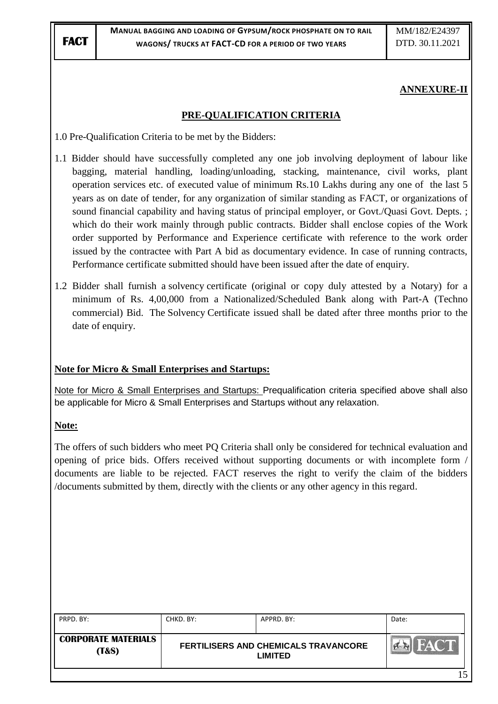#### **ANNEXURE-II**

#### **PRE-QUALIFICATION CRITERIA**

- 1.0 Pre-Qualification Criteria to be met by the Bidders:
- 1.1 Bidder should have successfully completed any one job involving deployment of labour like bagging, material handling, loading/unloading, stacking, maintenance, civil works, plant operation services etc. of executed value of minimum Rs.10 Lakhs during any one of the last 5 years as on date of tender, for any organization of similar standing as FACT, or organizations of sound financial capability and having status of principal employer, or Govt./Quasi Govt. Depts. ; which do their work mainly through public contracts. Bidder shall enclose copies of the Work order supported by Performance and Experience certificate with reference to the work order issued by the contractee with Part A bid as documentary evidence. In case of running contracts, Performance certificate submitted should have been issued after the date of enquiry.
- 1.2 Bidder shall furnish a solvency certificate (original or copy duly attested by a Notary) for a minimum of Rs. 4,00,000 from a Nationalized/Scheduled Bank along with Part-A (Techno commercial) Bid. The Solvency Certificate issued shall be dated after three months prior to the date of enquiry.

## **Note for Micro & Small Enterprises and Startups:**

Note for Micro & Small Enterprises and Startups: Prequalification criteria specified above shall also be applicable for Micro & Small Enterprises and Startups without any relaxation.

#### **Note:**

The offers of such bidders who meet PQ Criteria shall only be considered for technical evaluation and opening of price bids. Offers received without supporting documents or with incomplete form / documents are liable to be rejected. FACT reserves the right to verify the claim of the bidders /documents submitted by them, directly with the clients or any other agency in this regard.

| PRPD. BY:                                      | CHKD. BY: | APPRD. BY:                                                    | Date: |
|------------------------------------------------|-----------|---------------------------------------------------------------|-------|
| <b>CORPORATE MATERIALS</b><br><b>(T&amp;S)</b> |           | <b>FERTILISERS AND CHEMICALS TRAVANCORE</b><br><b>LIMITED</b> |       |
|                                                |           |                                                               | 15    |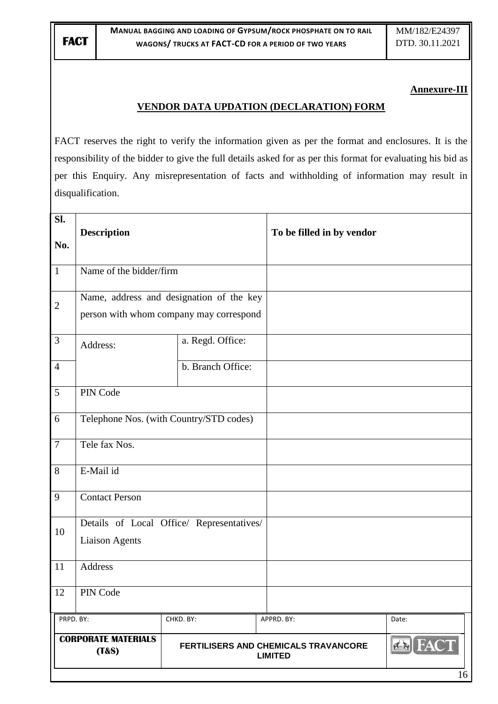#### **Annexure-III**

## **VENDOR DATA UPDATION (DECLARATION) FORM**

FACT reserves the right to verify the information given as per the format and enclosures. It is the responsibility of the bidder to give the full details asked for as per this format for evaluating his bid as per this Enquiry. Any misrepresentation of facts and withholding of information may result in disqualification.

| Sl.<br>No.     | <b>Description</b>                                                                  |                                           | To be filled in by vendor                              |                      |
|----------------|-------------------------------------------------------------------------------------|-------------------------------------------|--------------------------------------------------------|----------------------|
| $\mathbf{1}$   | Name of the bidder/firm                                                             |                                           |                                                        |                      |
| $\overline{2}$ | Name, address and designation of the key<br>person with whom company may correspond |                                           |                                                        |                      |
| $\overline{3}$ | Address:                                                                            | a. Regd. Office:                          |                                                        |                      |
| $\overline{4}$ |                                                                                     | b. Branch Office:                         |                                                        |                      |
| $\overline{5}$ | PIN Code                                                                            |                                           |                                                        |                      |
| 6              |                                                                                     | Telephone Nos. (with Country/STD codes)   |                                                        |                      |
| $\overline{7}$ | Tele fax Nos.                                                                       |                                           |                                                        |                      |
| 8              | E-Mail id                                                                           |                                           |                                                        |                      |
| $\overline{9}$ | <b>Contact Person</b>                                                               |                                           |                                                        |                      |
| 10             | <b>Liaison Agents</b>                                                               | Details of Local Office/ Representatives/ |                                                        |                      |
| 11             | Address                                                                             |                                           |                                                        |                      |
| 12             | PIN Code                                                                            |                                           |                                                        |                      |
| PRPD. BY:      |                                                                                     | CHKD. BY:                                 | APPRD. BY:                                             | Date:                |
|                | <b>CORPORATE MATERIALS</b><br>(T&s)                                                 |                                           | FERTILISERS AND CHEMICALS TRAVANCORE<br><b>LIMITED</b> | <b>EX FACT</b><br>16 |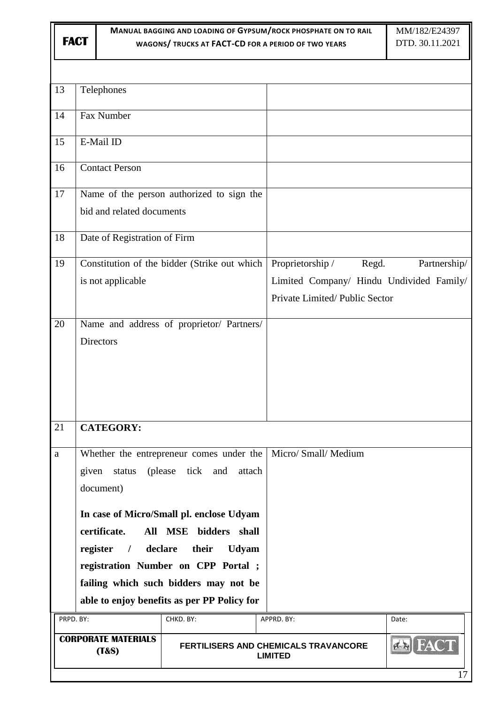| MANUAL BAGGING AND LOADING OF GYPSUM/ROCK PHOSPHATE ON TO RAIL |                                                                    |                                        |                                                                                                                                                                                                                      | MM/182/E24397 |                                                                                                        |              |
|----------------------------------------------------------------|--------------------------------------------------------------------|----------------------------------------|----------------------------------------------------------------------------------------------------------------------------------------------------------------------------------------------------------------------|---------------|--------------------------------------------------------------------------------------------------------|--------------|
|                                                                | <b>FACT</b><br>WAGONS/ TRUCKS AT FACT-CD FOR A PERIOD OF TWO YEARS |                                        |                                                                                                                                                                                                                      |               | DTD. 30.11.2021                                                                                        |              |
|                                                                |                                                                    |                                        |                                                                                                                                                                                                                      |               |                                                                                                        |              |
|                                                                |                                                                    |                                        |                                                                                                                                                                                                                      |               |                                                                                                        |              |
| 13                                                             |                                                                    | Telephones                             |                                                                                                                                                                                                                      |               |                                                                                                        |              |
| 14                                                             |                                                                    | Fax Number                             |                                                                                                                                                                                                                      |               |                                                                                                        |              |
| 15                                                             |                                                                    | E-Mail ID                              |                                                                                                                                                                                                                      |               |                                                                                                        |              |
| 16                                                             |                                                                    | <b>Contact Person</b>                  |                                                                                                                                                                                                                      |               |                                                                                                        |              |
| 17                                                             |                                                                    | bid and related documents              | Name of the person authorized to sign the                                                                                                                                                                            |               |                                                                                                        |              |
| 18                                                             |                                                                    | Date of Registration of Firm           |                                                                                                                                                                                                                      |               |                                                                                                        |              |
| 19                                                             |                                                                    | is not applicable                      | Constitution of the bidder (Strike out which                                                                                                                                                                         |               | Proprietorship /<br>Regd.<br>Limited Company/ Hindu Undivided Family/<br>Private Limited/Public Sector | Partnership/ |
| 20                                                             |                                                                    | <b>Directors</b>                       | Name and address of proprietor/ Partners/                                                                                                                                                                            |               |                                                                                                        |              |
| 21                                                             |                                                                    | <b>CATEGORY:</b>                       |                                                                                                                                                                                                                      |               |                                                                                                        |              |
| a                                                              | given                                                              | status<br>document)                    | (please)<br>tick<br>and                                                                                                                                                                                              | attach        | Whether the entrepreneur comes under the   Micro/ Small/ Medium                                        |              |
|                                                                |                                                                    | certificate.<br>register<br>$\sqrt{ }$ | In case of Micro/Small pl. enclose Udyam<br>All MSE bidders shall<br>declare<br>their<br>registration Number on CPP Portal ;<br>failing which such bidders may not be<br>able to enjoy benefits as per PP Policy for | <b>Udyam</b>  |                                                                                                        |              |
| PRPD. BY:                                                      |                                                                    |                                        | CHKD. BY:                                                                                                                                                                                                            |               | APPRD. BY:                                                                                             | Date:        |
|                                                                |                                                                    | <b>CORPORATE MATERIALS</b><br>(T&s)    |                                                                                                                                                                                                                      |               | <b>FERTILISERS AND CHEMICALS TRAVANCORE</b><br><b>LIMITED</b>                                          | 17           |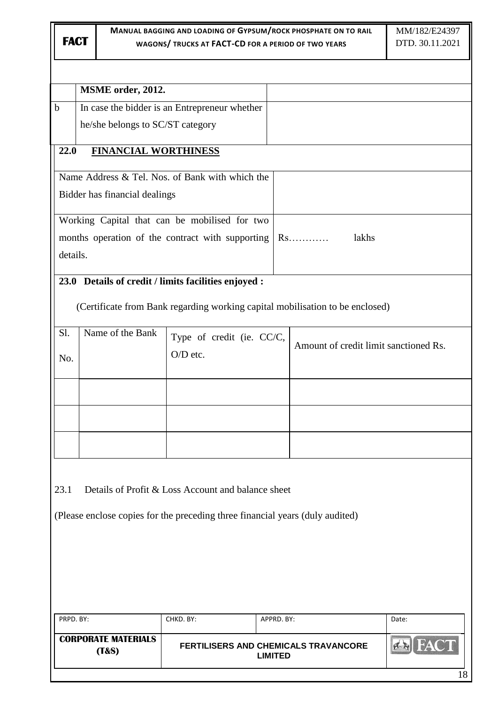|             | MSME order, 2012.                   |                                                                               |                |                                                                               |       |
|-------------|-------------------------------------|-------------------------------------------------------------------------------|----------------|-------------------------------------------------------------------------------|-------|
| $\mathbf b$ |                                     | In case the bidder is an Entrepreneur whether                                 |                |                                                                               |       |
|             | he/she belongs to SC/ST category    |                                                                               |                |                                                                               |       |
| 22.0        | <b>FINANCIAL WORTHINESS</b>         |                                                                               |                |                                                                               |       |
|             |                                     | Name Address & Tel. Nos. of Bank with which the                               |                |                                                                               |       |
|             | Bidder has financial dealings       |                                                                               |                |                                                                               |       |
|             |                                     | Working Capital that can be mobilised for two                                 |                |                                                                               |       |
|             |                                     | months operation of the contract with supporting                              |                | $Rs.\dots\dots$<br>lakhs                                                      |       |
| details.    |                                     |                                                                               |                |                                                                               |       |
|             |                                     | 23.0 Details of credit / limits facilities enjoyed :                          |                |                                                                               |       |
|             |                                     |                                                                               |                | (Certificate from Bank regarding working capital mobilisation to be enclosed) |       |
| Sl.         | Name of the Bank                    | Type of credit (ie. CC/C,                                                     |                |                                                                               |       |
| No.         |                                     | O/D etc.                                                                      |                | Amount of credit limit sanctioned Rs.                                         |       |
|             |                                     |                                                                               |                |                                                                               |       |
|             |                                     |                                                                               |                |                                                                               |       |
|             |                                     |                                                                               |                |                                                                               |       |
|             |                                     |                                                                               |                |                                                                               |       |
|             |                                     |                                                                               |                |                                                                               |       |
| 23.1        |                                     | Details of Profit & Loss Account and balance sheet                            |                |                                                                               |       |
|             |                                     | (Please enclose copies for the preceding three financial years (duly audited) |                |                                                                               |       |
|             |                                     |                                                                               |                |                                                                               |       |
|             |                                     |                                                                               |                |                                                                               |       |
|             |                                     |                                                                               |                |                                                                               |       |
|             |                                     |                                                                               |                |                                                                               |       |
| PRPD. BY:   |                                     | CHKD. BY:                                                                     | APPRD. BY:     |                                                                               | Date: |
|             | <b>CORPORATE MATERIALS</b><br>(T&s) |                                                                               | <b>LIMITED</b> | FERTILISERS AND CHEMICALS TRAVANCORE                                          |       |
|             |                                     |                                                                               |                |                                                                               | 18    |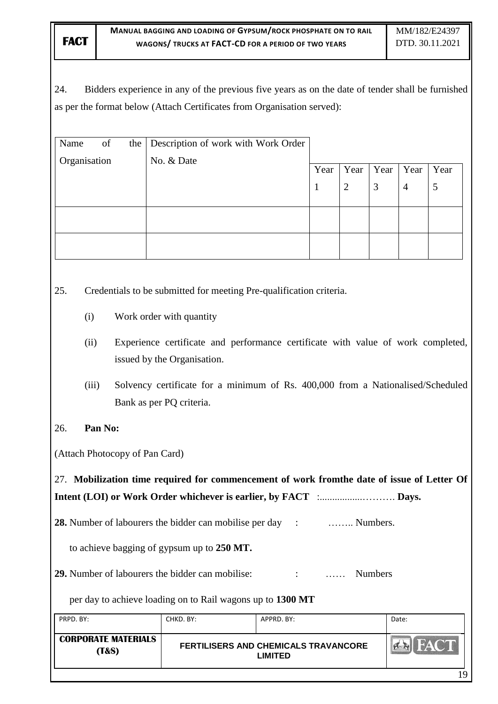24. Bidders experience in any of the previous five years as on the date of tender shall be furnished as per the format below (Attach Certificates from Organisation served):

| Name         | of | the | Description of work with Work Order |      |                |      |                |      |
|--------------|----|-----|-------------------------------------|------|----------------|------|----------------|------|
| Organisation |    |     | No. & Date                          | Year | Year           | Year | Year           | Year |
|              |    |     |                                     |      | $\overline{2}$ | 3    | $\overline{4}$ | 5    |
|              |    |     |                                     |      |                |      |                |      |
|              |    |     |                                     |      |                |      |                |      |
|              |    |     |                                     |      |                |      |                |      |

25. Credentials to be submitted for meeting Pre-qualification criteria.

- (i) Work order with quantity
- (ii) Experience certificate and performance certificate with value of work completed, issued by the Organisation.
- (iii) Solvency certificate for a minimum of Rs. 400,000 from a Nationalised/Scheduled Bank as per PQ criteria.
- 26. **Pan No:**

(Attach Photocopy of Pan Card)

27. **Mobilization time required for commencement of work fromthe date of issue of Letter Of Intent (LOI) or Work Order whichever is earlier, by FACT** :.................………. **Days.**

**28.** Number of labourers the bidder can mobilise per day : …….. Numbers.

to achieve bagging of gypsum up to **250 MT.**

29. Number of labourers the bidder can mobilise:  $\cdot$  ...... Numbers

per day to achieve loading on to Rail wagons up to **1300 MT**

| PRPD, BY:                           | CHKD. BY: | APPRD. BY:                                                    | Date:       |
|-------------------------------------|-----------|---------------------------------------------------------------|-------------|
| <b>CORPORATE MATERIALS</b><br>(T&S) |           | <b>FERTILISERS AND CHEMICALS TRAVANCORE</b><br><b>LIMITED</b> | <b>FACT</b> |
|                                     |           |                                                               | 19          |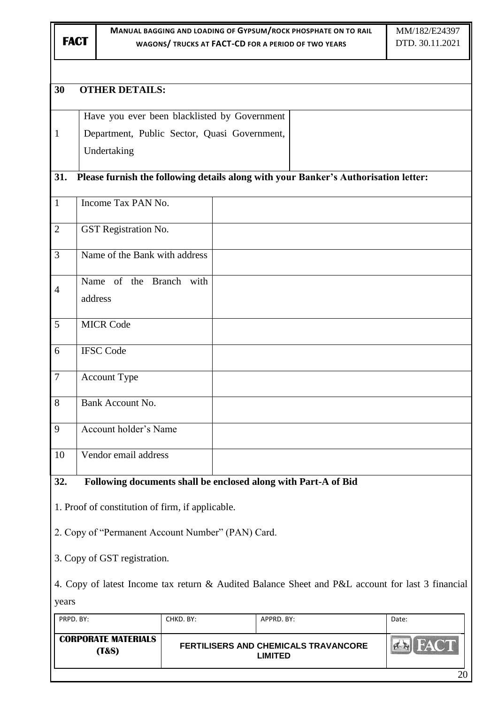| ۰, |  |
|----|--|

**(T&S)**

#### **MANUAL BAGGING AND LOADING OF GYPSUM/ROCK PHOSPHATE ON TO RAIL WAGONS/ TRUCKS AT FACT-CD FOR A PERIOD OF TWO YEARS**

# **30 OTHER DETAILS:** Have you ever been blacklisted by Government 1 Department, Public Sector, Quasi Government, Undertaking **31. Please furnish the following details along with your Banker"s Authorisation letter:** 1 | Income Tax PAN No. 2 GST Registration No. 3 Name of the Bank with address Name of the Branch with  $\overline{\Delta}$ address 5 MICR Code 6 IFSC Code 7 Account Type 8 Bank Account No. 9 Account holder"s Name 10 Vendor email address **32. Following documents shall be enclosed along with Part-A of Bid** 1. Proof of constitution of firm, if applicable. 2. Copy of "Permanent Account Number" (PAN) Card. 3. Copy of GST registration. 4. Copy of latest Income tax return & Audited Balance Sheet and P&L account for last 3 financial yearsPRPD. BY: CHKD. BY: APPRD. BY: APPRD. BY: Date: **CORPORATE MATERIALS**   $\mathbf{A}$ FACT **FERTILISERS AND CHEMICALS TRAVANCORE**

**LIMITED**

20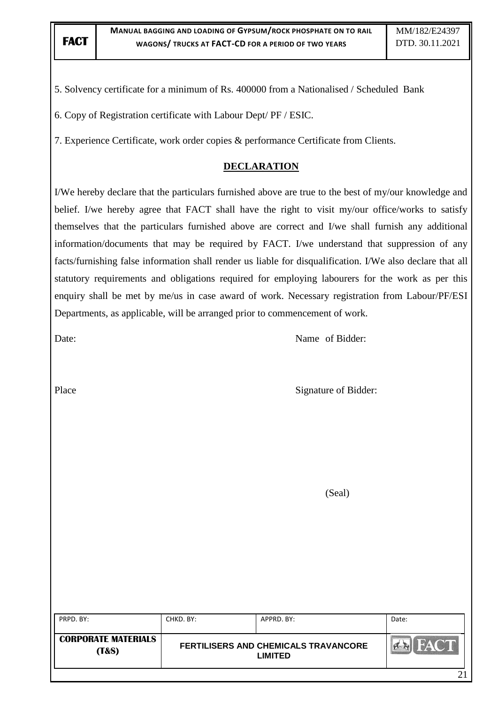5. Solvency certificate for a minimum of Rs. 400000 from a Nationalised / Scheduled Bank

6. Copy of Registration certificate with Labour Dept/ PF / ESIC.

7. Experience Certificate, work order copies & performance Certificate from Clients.

#### **DECLARATION**

I/We hereby declare that the particulars furnished above are true to the best of my/our knowledge and belief. I/we hereby agree that FACT shall have the right to visit my/our office/works to satisfy themselves that the particulars furnished above are correct and I/we shall furnish any additional information/documents that may be required by FACT. I/we understand that suppression of any facts/furnishing false information shall render us liable for disqualification. I/We also declare that all statutory requirements and obligations required for employing labourers for the work as per this enquiry shall be met by me/us in case award of work. Necessary registration from Labour/PF/ESI Departments, as applicable, will be arranged prior to commencement of work.

Date: Name of Bidder:

Place Signature of Bidder:

(Seal)

| PRPD. BY:                                      | CHKD. BY: | APPRD. BY:                                             | Date: |
|------------------------------------------------|-----------|--------------------------------------------------------|-------|
| <b>CORPORATE MATERIALS</b><br><b>(T&amp;S)</b> |           | FERTILISERS AND CHEMICALS TRAVANCORE<br><b>LIMITED</b> |       |
|                                                |           |                                                        |       |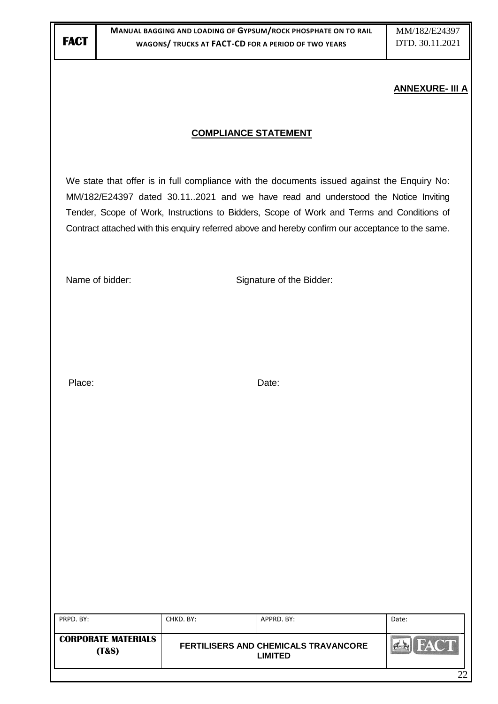#### **ANNEXURE- III A**

#### **COMPLIANCE STATEMENT**

We state that offer is in full compliance with the documents issued against the Enquiry No: MM/182/E24397 dated 30.11..2021 and we have read and understood the Notice Inviting Tender, Scope of Work, Instructions to Bidders, Scope of Work and Terms and Conditions of Contract attached with this enquiry referred above and hereby confirm our acceptance to the same.

Name of bidder: Signature of the Bidder:

Place: Date: Date: Date: Date: Date: Date: Date: Date: Date: Date: Date: Date: Date: Date: Date: Date: Date: Date: Date: Date: Date: Date: Date: Date: Date: Date: Date: Date: Date: Date: Date: Date: Date: Date: Date: Date:

| PRPD. BY:                                      | CHKD. BY: | APPRD, BY:                                             | Date:       |
|------------------------------------------------|-----------|--------------------------------------------------------|-------------|
| <b>CORPORATE MATERIALS</b><br><b>(T&amp;S)</b> |           | <b>FERTILISERS AND CHEMICALS TRAVANCORE</b><br>LIMITED | <b>HACT</b> |
|                                                |           |                                                        | າາ          |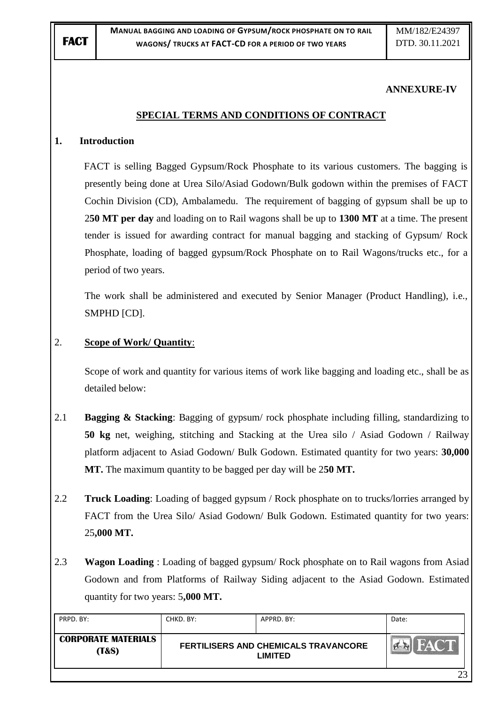#### **ANNEXURE-IV**

#### **SPECIAL TERMS AND CONDITIONS OF CONTRACT**

#### **1. Introduction**

FACT is selling Bagged Gypsum/Rock Phosphate to its various customers. The bagging is presently being done at Urea Silo/Asiad Godown/Bulk godown within the premises of FACT Cochin Division (CD), Ambalamedu. The requirement of bagging of gypsum shall be up to 2**50 MT per day** and loading on to Rail wagons shall be up to **1300 MT** at a time. The present tender is issued for awarding contract for manual bagging and stacking of Gypsum/ Rock Phosphate, loading of bagged gypsum/Rock Phosphate on to Rail Wagons/trucks etc., for a period of two years.

The work shall be administered and executed by Senior Manager (Product Handling), i.e., SMPHD [CD].

#### 2. **Scope of Work/ Quantity**:

Scope of work and quantity for various items of work like bagging and loading etc., shall be as detailed below:

- 2.1 **Bagging & Stacking**: Bagging of gypsum/ rock phosphate including filling, standardizing to **50 kg** net, weighing, stitching and Stacking at the Urea silo / Asiad Godown / Railway platform adjacent to Asiad Godown/ Bulk Godown. Estimated quantity for two years: **30,000 MT.** The maximum quantity to be bagged per day will be 2**50 MT.**
- 2.2 **Truck Loading**: Loading of bagged gypsum / Rock phosphate on to trucks/lorries arranged by FACT from the Urea Silo/ Asiad Godown/ Bulk Godown. Estimated quantity for two years: 25**,000 MT.**
- 2.3 **Wagon Loading** : Loading of bagged gypsum/ Rock phosphate on to Rail wagons from Asiad Godown and from Platforms of Railway Siding adjacent to the Asiad Godown. Estimated quantity for two years: 5**,000 MT.**

| PRPD. BY:                                      | CHKD. BY:                                              | APPRD, BY: | Date:             |
|------------------------------------------------|--------------------------------------------------------|------------|-------------------|
| <b>CORPORATE MATERIALS</b><br><b>(T&amp;S)</b> | FERTILISERS AND CHEMICALS TRAVANCORE<br><b>LIMITED</b> |            | FACT <sup>®</sup> |
|                                                |                                                        |            | າາ                |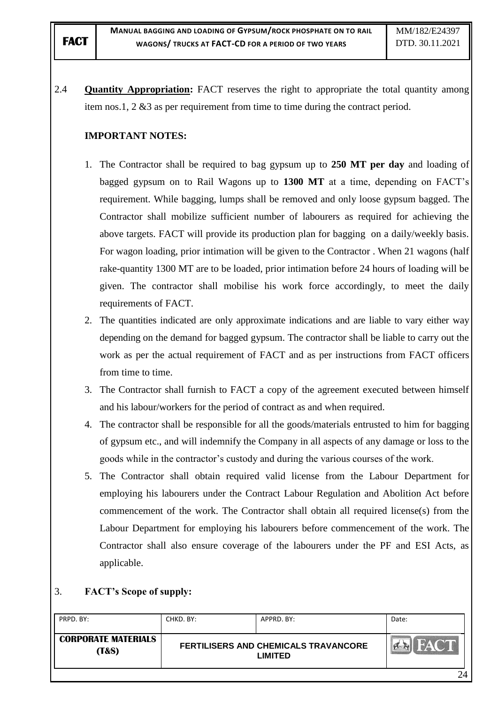2.4 **Quantity Appropriation:** FACT reserves the right to appropriate the total quantity among item nos.1, 2 &3 as per requirement from time to time during the contract period.

# **IMPORTANT NOTES:**

- 1. The Contractor shall be required to bag gypsum up to **250 MT per day** and loading of bagged gypsum on to Rail Wagons up to **1300 MT** at a time, depending on FACT"s requirement. While bagging, lumps shall be removed and only loose gypsum bagged. The Contractor shall mobilize sufficient number of labourers as required for achieving the above targets. FACT will provide its production plan for bagging on a daily/weekly basis. For wagon loading, prior intimation will be given to the Contractor . When 21 wagons (half rake-quantity 1300 MT are to be loaded, prior intimation before 24 hours of loading will be given. The contractor shall mobilise his work force accordingly, to meet the daily requirements of FACT.
- 2. The quantities indicated are only approximate indications and are liable to vary either way depending on the demand for bagged gypsum. The contractor shall be liable to carry out the work as per the actual requirement of FACT and as per instructions from FACT officers from time to time.
- 3. The Contractor shall furnish to FACT a copy of the agreement executed between himself and his labour/workers for the period of contract as and when required.
- 4. The contractor shall be responsible for all the goods/materials entrusted to him for bagging of gypsum etc., and will indemnify the Company in all aspects of any damage or loss to the goods while in the contractor"s custody and during the various courses of the work.
- 5. The Contractor shall obtain required valid license from the Labour Department for employing his labourers under the Contract Labour Regulation and Abolition Act before commencement of the work. The Contractor shall obtain all required license(s) from the Labour Department for employing his labourers before commencement of the work. The Contractor shall also ensure coverage of the labourers under the PF and ESI Acts, as applicable.

## 3. **FACT"s Scope of supply:**

| PRPD, BY:                                      | CHKD. BY: | APPRD. BY:                                                    | Date: |
|------------------------------------------------|-----------|---------------------------------------------------------------|-------|
| <b>CORPORATE MATERIALS</b><br><b>(T&amp;S)</b> |           | <b>FERTILISERS AND CHEMICALS TRAVANCORE</b><br><b>LIMITED</b> |       |
|                                                |           |                                                               | 24    |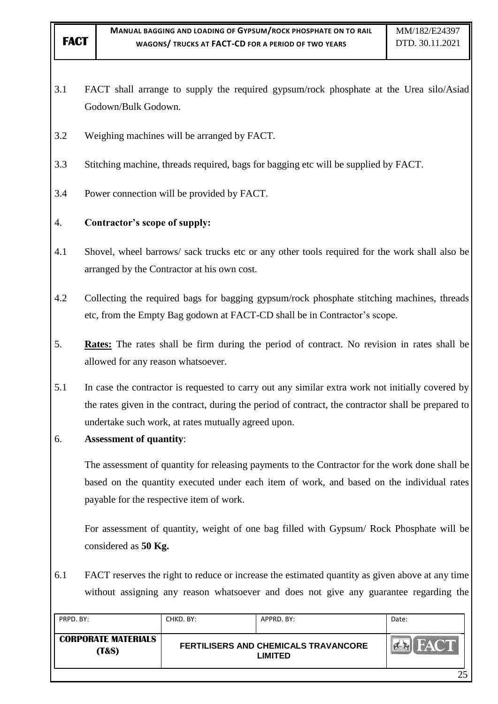- 3.1 FACT shall arrange to supply the required gypsum/rock phosphate at the Urea silo/Asiad Godown/Bulk Godown.
- 3.2 Weighing machines will be arranged by FACT.
- 3.3 Stitching machine, threads required, bags for bagging etc will be supplied by FACT.
- 3.4 Power connection will be provided by FACT.

# 4. **Contractor"s scope of supply:**

- 4.1 Shovel, wheel barrows/ sack trucks etc or any other tools required for the work shall also be arranged by the Contractor at his own cost.
- 4.2 Collecting the required bags for bagging gypsum/rock phosphate stitching machines, threads etc, from the Empty Bag godown at FACT-CD shall be in Contractor's scope.
- 5. **Rates:** The rates shall be firm during the period of contract. No revision in rates shall be allowed for any reason whatsoever.
- 5.1 In case the contractor is requested to carry out any similar extra work not initially covered by the rates given in the contract, during the period of contract, the contractor shall be prepared to undertake such work, at rates mutually agreed upon.
- 6. **Assessment of quantity**:

The assessment of quantity for releasing payments to the Contractor for the work done shall be based on the quantity executed under each item of work, and based on the individual rates payable for the respective item of work.

For assessment of quantity, weight of one bag filled with Gypsum/ Rock Phosphate will be considered as **50 Kg.**

6.1 FACT reserves the right to reduce or increase the estimated quantity as given above at any time without assigning any reason whatsoever and does not give any guarantee regarding the

| PRPD. BY:                                      | CHKD. BY: | APPRD. BY:                                                    | Date: |
|------------------------------------------------|-----------|---------------------------------------------------------------|-------|
| <b>CORPORATE MATERIALS</b><br><b>(T&amp;S)</b> |           | <b>FERTILISERS AND CHEMICALS TRAVANCORE</b><br><b>LIMITED</b> |       |
|                                                |           |                                                               | 25    |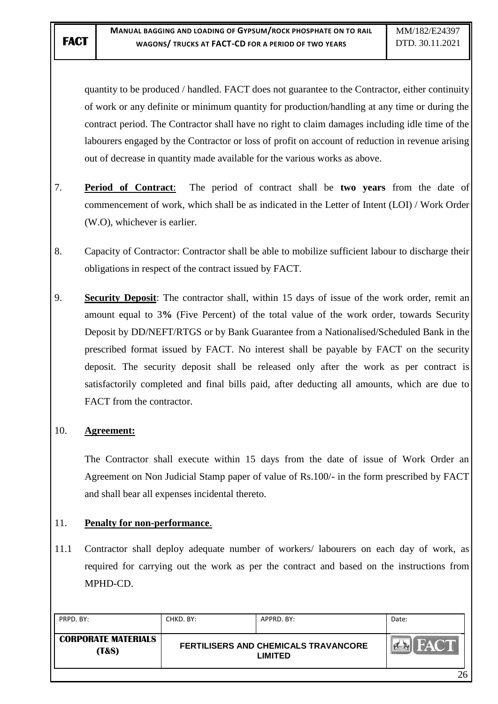quantity to be produced / handled. FACT does not guarantee to the Contractor, either continuity of work or any definite or minimum quantity for production/handling at any time or during the contract period. The Contractor shall have no right to claim damages including idle time of the labourers engaged by the Contractor or loss of profit on account of reduction in revenue arising out of decrease in quantity made available for the various works as above.

- 7. **Period of Contract**: The period of contract shall be **two years** from the date of commencement of work, which shall be as indicated in the Letter of Intent (LOI) / Work Order (W.O), whichever is earlier.
- 8. Capacity of Contractor: Contractor shall be able to mobilize sufficient labour to discharge their obligations in respect of the contract issued by FACT.
- 9. **Security Deposit**: The contractor shall, within 15 days of issue of the work order, remit an amount equal to 3**%** (Five Percent) of the total value of the work order, towards Security Deposit by DD/NEFT/RTGS or by Bank Guarantee from a Nationalised/Scheduled Bank in the prescribed format issued by FACT. No interest shall be payable by FACT on the security deposit. The security deposit shall be released only after the work as per contract is satisfactorily completed and final bills paid, after deducting all amounts, which are due to FACT from the contractor.

## 10. **Agreement:**

The Contractor shall execute within 15 days from the date of issue of Work Order an Agreement on Non Judicial Stamp paper of value of Rs.100/- in the form prescribed by FACT and shall bear all expenses incidental thereto.

## 11. **Penalty for non-performance**.

11.1 Contractor shall deploy adequate number of workers/ labourers on each day of work, as required for carrying out the work as per the contract and based on the instructions from MPHD-CD.

| PRPD, BY:                                      | CHKD. BY:                                                     | APPRD. BY: | Date:       |
|------------------------------------------------|---------------------------------------------------------------|------------|-------------|
| <b>CORPORATE MATERIALS</b><br><b>(T&amp;S)</b> | <b>FERTILISERS AND CHEMICALS TRAVANCORE</b><br><b>LIMITED</b> |            | <b>FACT</b> |
|                                                |                                                               |            | 26          |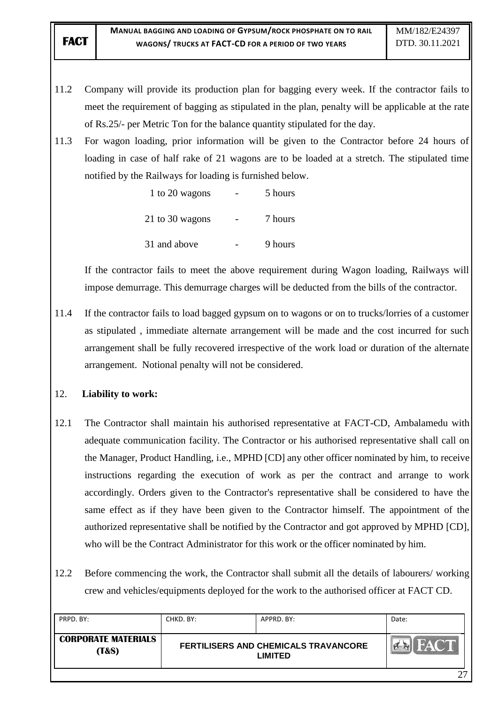- 11.2 Company will provide its production plan for bagging every week. If the contractor fails to meet the requirement of bagging as stipulated in the plan, penalty will be applicable at the rate of Rs.25/- per Metric Ton for the balance quantity stipulated for the day.
- 11.3 For wagon loading, prior information will be given to the Contractor before 24 hours of loading in case of half rake of 21 wagons are to be loaded at a stretch. The stipulated time notified by the Railways for loading is furnished below.

| 1 to 20 wagons  | 5 hours |
|-----------------|---------|
| 21 to 30 wagons | 7 hours |
| 31 and above    | 9 hours |

 If the contractor fails to meet the above requirement during Wagon loading, Railways will impose demurrage. This demurrage charges will be deducted from the bills of the contractor.

11.4 If the contractor fails to load bagged gypsum on to wagons or on to trucks/lorries of a customer as stipulated , immediate alternate arrangement will be made and the cost incurred for such arrangement shall be fully recovered irrespective of the work load or duration of the alternate arrangement. Notional penalty will not be considered.

## 12. **Liability to work:**

- 12.1 The Contractor shall maintain his authorised representative at FACT-CD, Ambalamedu with adequate communication facility. The Contractor or his authorised representative shall call on the Manager, Product Handling, i.e., MPHD [CD] any other officer nominated by him, to receive instructions regarding the execution of work as per the contract and arrange to work accordingly. Orders given to the Contractor's representative shall be considered to have the same effect as if they have been given to the Contractor himself. The appointment of the authorized representative shall be notified by the Contractor and got approved by MPHD [CD], who will be the Contract Administrator for this work or the officer nominated by him.
- 12.2 Before commencing the work, the Contractor shall submit all the details of labourers/ working crew and vehicles/equipments deployed for the work to the authorised officer at FACT CD.

| PRPD, BY:                                      | CHKD. BY:                                                     | APPRD. BY: | Date: |
|------------------------------------------------|---------------------------------------------------------------|------------|-------|
| <b>CORPORATE MATERIALS</b><br><b>(T&amp;S)</b> | <b>FERTILISERS AND CHEMICALS TRAVANCORE</b><br><b>LIMITED</b> |            | HACT  |
|                                                |                                                               |            | רי    |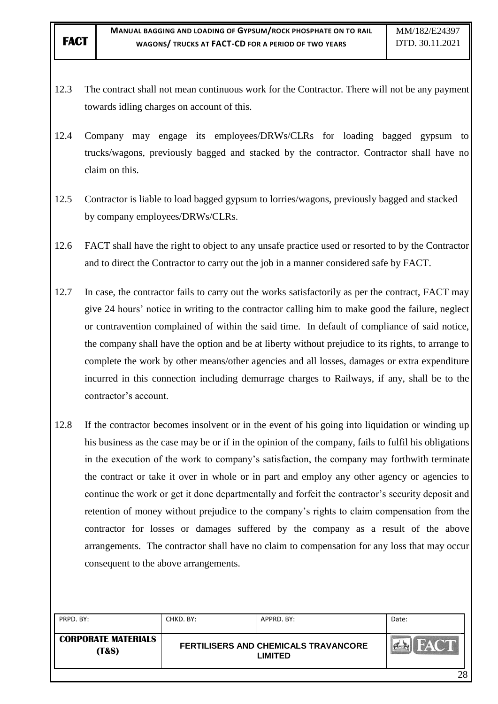- 12.3 The contract shall not mean continuous work for the Contractor. There will not be any payment towards idling charges on account of this.
- 12.4 Company may engage its employees/DRWs/CLRs for loading bagged gypsum to trucks/wagons, previously bagged and stacked by the contractor. Contractor shall have no claim on this.
- 12.5 Contractor is liable to load bagged gypsum to lorries/wagons, previously bagged and stacked by company employees/DRWs/CLRs.
- 12.6 FACT shall have the right to object to any unsafe practice used or resorted to by the Contractor and to direct the Contractor to carry out the job in a manner considered safe by FACT.
- 12.7 In case, the contractor fails to carry out the works satisfactorily as per the contract, FACT may give 24 hours" notice in writing to the contractor calling him to make good the failure, neglect or contravention complained of within the said time. In default of compliance of said notice, the company shall have the option and be at liberty without prejudice to its rights, to arrange to complete the work by other means/other agencies and all losses, damages or extra expenditure incurred in this connection including demurrage charges to Railways, if any, shall be to the contractor"s account.
- 12.8 If the contractor becomes insolvent or in the event of his going into liquidation or winding up his business as the case may be or if in the opinion of the company, fails to fulfil his obligations in the execution of the work to company"s satisfaction, the company may forthwith terminate the contract or take it over in whole or in part and employ any other agency or agencies to continue the work or get it done departmentally and forfeit the contractor's security deposit and retention of money without prejudice to the company"s rights to claim compensation from the contractor for losses or damages suffered by the company as a result of the above arrangements. The contractor shall have no claim to compensation for any loss that may occur consequent to the above arrangements.

| PRPD. BY:                                      | CHKD, BY: | APPRD. BY:                                             | Date: |
|------------------------------------------------|-----------|--------------------------------------------------------|-------|
| <b>CORPORATE MATERIALS</b><br><b>(T&amp;S)</b> |           | FERTILISERS AND CHEMICALS TRAVANCORE<br><b>LIMITED</b> |       |
|                                                |           |                                                        | 28    |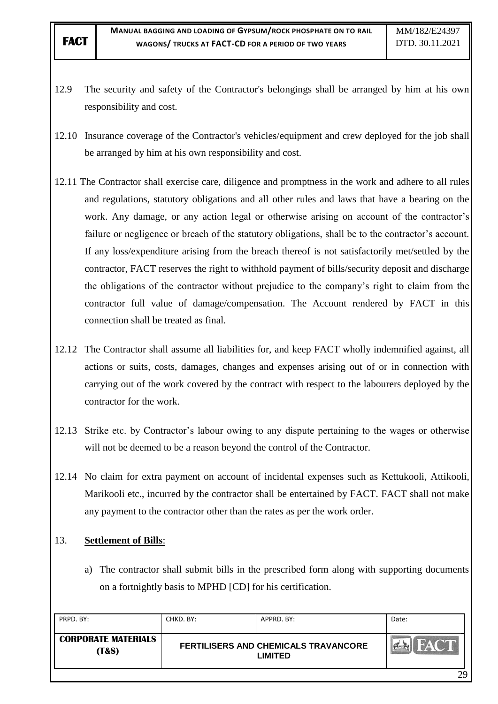- 12.9 The security and safety of the Contractor's belongings shall be arranged by him at his own responsibility and cost.
- 12.10 Insurance coverage of the Contractor's vehicles/equipment and crew deployed for the job shall be arranged by him at his own responsibility and cost.
- 12.11 The Contractor shall exercise care, diligence and promptness in the work and adhere to all rules and regulations, statutory obligations and all other rules and laws that have a bearing on the work. Any damage, or any action legal or otherwise arising on account of the contractor's failure or negligence or breach of the statutory obligations, shall be to the contractor's account. If any loss/expenditure arising from the breach thereof is not satisfactorily met/settled by the contractor, FACT reserves the right to withhold payment of bills/security deposit and discharge the obligations of the contractor without prejudice to the company"s right to claim from the contractor full value of damage/compensation. The Account rendered by FACT in this connection shall be treated as final.
- 12.12 The Contractor shall assume all liabilities for, and keep FACT wholly indemnified against, all actions or suits, costs, damages, changes and expenses arising out of or in connection with carrying out of the work covered by the contract with respect to the labourers deployed by the contractor for the work.
- 12.13 Strike etc. by Contractor's labour owing to any dispute pertaining to the wages or otherwise will not be deemed to be a reason beyond the control of the Contractor.
- 12.14 No claim for extra payment on account of incidental expenses such as Kettukooli, Attikooli, Marikooli etc., incurred by the contractor shall be entertained by FACT. FACT shall not make any payment to the contractor other than the rates as per the work order.

## 13. **Settlement of Bills**:

a) The contractor shall submit bills in the prescribed form along with supporting documents on a fortnightly basis to MPHD [CD] for his certification.

| PRPD, BY:                                      | CHKD. BY: | APPRD. BY:                                                    | Date: |
|------------------------------------------------|-----------|---------------------------------------------------------------|-------|
| <b>CORPORATE MATERIALS</b><br><b>(T&amp;S)</b> |           | <b>FERTILISERS AND CHEMICALS TRAVANCORE</b><br><b>LIMITED</b> |       |
|                                                |           |                                                               | 29    |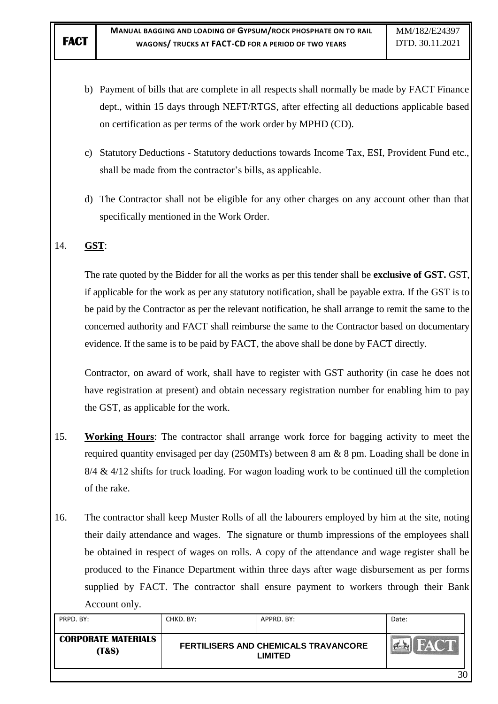- b) Payment of bills that are complete in all respects shall normally be made by FACT Finance dept., within 15 days through NEFT/RTGS, after effecting all deductions applicable based on certification as per terms of the work order by MPHD (CD).
- c) Statutory Deductions Statutory deductions towards Income Tax, ESI, Provident Fund etc., shall be made from the contractor's bills, as applicable.
- d) The Contractor shall not be eligible for any other charges on any account other than that specifically mentioned in the Work Order.

## 14. **GST**:

The rate quoted by the Bidder for all the works as per this tender shall be **exclusive of GST.** GST, if applicable for the work as per any statutory notification, shall be payable extra. If the GST is to be paid by the Contractor as per the relevant notification, he shall arrange to remit the same to the concerned authority and FACT shall reimburse the same to the Contractor based on documentary evidence. If the same is to be paid by FACT, the above shall be done by FACT directly.

Contractor, on award of work, shall have to register with GST authority (in case he does not have registration at present) and obtain necessary registration number for enabling him to pay the GST, as applicable for the work.

- 15. **Working Hours**: The contractor shall arrange work force for bagging activity to meet the required quantity envisaged per day (250MTs) between 8 am & 8 pm. Loading shall be done in  $8/4 \& 4/12$  shifts for truck loading. For wagon loading work to be continued till the completion of the rake.
- 16. The contractor shall keep Muster Rolls of all the labourers employed by him at the site, noting their daily attendance and wages. The signature or thumb impressions of the employees shall be obtained in respect of wages on rolls. A copy of the attendance and wage register shall be produced to the Finance Department within three days after wage disbursement as per forms supplied by FACT. The contractor shall ensure payment to workers through their Bank Account only.

| PRPD. BY:                                      | CHKD. BY: | APPRD. BY:                                      | Date: |
|------------------------------------------------|-----------|-------------------------------------------------|-------|
| <b>CORPORATE MATERIALS</b><br><b>(T&amp;S)</b> |           | FERTILISERS AND CHEMICALS TRAVANCORE<br>LIMITED |       |
|                                                |           |                                                 | 20    |

30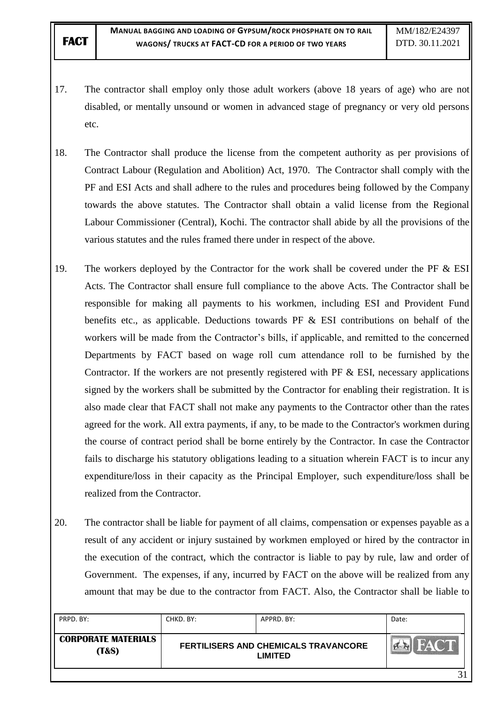- 17. The contractor shall employ only those adult workers (above 18 years of age) who are not disabled, or mentally unsound or women in advanced stage of pregnancy or very old persons etc.
- 18. The Contractor shall produce the license from the competent authority as per provisions of Contract Labour (Regulation and Abolition) Act, 1970. The Contractor shall comply with the PF and ESI Acts and shall adhere to the rules and procedures being followed by the Company towards the above statutes. The Contractor shall obtain a valid license from the Regional Labour Commissioner (Central), Kochi. The contractor shall abide by all the provisions of the various statutes and the rules framed there under in respect of the above.
- 19. The workers deployed by the Contractor for the work shall be covered under the PF & ESI Acts. The Contractor shall ensure full compliance to the above Acts. The Contractor shall be responsible for making all payments to his workmen, including ESI and Provident Fund benefits etc., as applicable. Deductions towards PF & ESI contributions on behalf of the workers will be made from the Contractor's bills, if applicable, and remitted to the concerned Departments by FACT based on wage roll cum attendance roll to be furnished by the Contractor. If the workers are not presently registered with PF  $\&$  ESI, necessary applications signed by the workers shall be submitted by the Contractor for enabling their registration. It is also made clear that FACT shall not make any payments to the Contractor other than the rates agreed for the work. All extra payments, if any, to be made to the Contractor's workmen during the course of contract period shall be borne entirely by the Contractor. In case the Contractor fails to discharge his statutory obligations leading to a situation wherein FACT is to incur any expenditure/loss in their capacity as the Principal Employer, such expenditure/loss shall be realized from the Contractor.
- 20. The contractor shall be liable for payment of all claims, compensation or expenses payable as a result of any accident or injury sustained by workmen employed or hired by the contractor in the execution of the contract, which the contractor is liable to pay by rule, law and order of Government. The expenses, if any, incurred by FACT on the above will be realized from any amount that may be due to the contractor from FACT. Also, the Contractor shall be liable to

| PRPD, BY:                                      | CHKD. BY: | APPRD. BY:                                                    | Date: |
|------------------------------------------------|-----------|---------------------------------------------------------------|-------|
| <b>CORPORATE MATERIALS</b><br><b>(T&amp;S)</b> |           | <b>FERTILISERS AND CHEMICALS TRAVANCORE</b><br><b>LIMITED</b> |       |
|                                                |           |                                                               |       |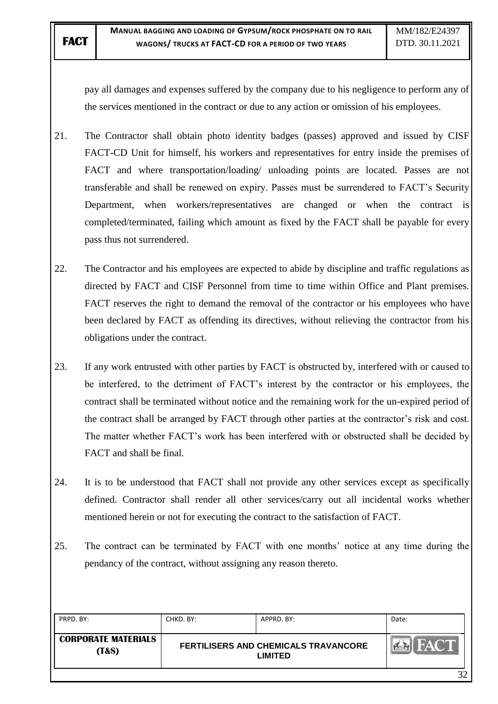pay all damages and expenses suffered by the company due to his negligence to perform any of the services mentioned in the contract or due to any action or omission of his employees.

- 21. The Contractor shall obtain photo identity badges (passes) approved and issued by CISF FACT-CD Unit for himself, his workers and representatives for entry inside the premises of FACT and where transportation/loading/ unloading points are located. Passes are not transferable and shall be renewed on expiry. Passes must be surrendered to FACT"s Security Department, when workers/representatives are changed or when the contract is completed/terminated, failing which amount as fixed by the FACT shall be payable for every pass thus not surrendered.
- 22. The Contractor and his employees are expected to abide by discipline and traffic regulations as directed by FACT and CISF Personnel from time to time within Office and Plant premises. FACT reserves the right to demand the removal of the contractor or his employees who have been declared by FACT as offending its directives, without relieving the contractor from his obligations under the contract.
- 23. If any work entrusted with other parties by FACT is obstructed by, interfered with or caused to be interfered, to the detriment of FACT"s interest by the contractor or his employees, the contract shall be terminated without notice and the remaining work for the un-expired period of the contract shall be arranged by FACT through other parties at the contractor's risk and cost. The matter whether FACT"s work has been interfered with or obstructed shall be decided by FACT and shall be final.
- 24. It is to be understood that FACT shall not provide any other services except as specifically defined. Contractor shall render all other services/carry out all incidental works whether mentioned herein or not for executing the contract to the satisfaction of FACT.
- 25. The contract can be terminated by FACT with one months" notice at any time during the pendancy of the contract, without assigning any reason thereto.

| PRPD. BY:                                      | CHKD. BY: | APPRD. BY:                                                    | Date: |
|------------------------------------------------|-----------|---------------------------------------------------------------|-------|
| <b>CORPORATE MATERIALS</b><br><b>(T&amp;S)</b> |           | <b>FERTILISERS AND CHEMICALS TRAVANCORE</b><br><b>LIMITED</b> |       |
|                                                |           |                                                               | 32    |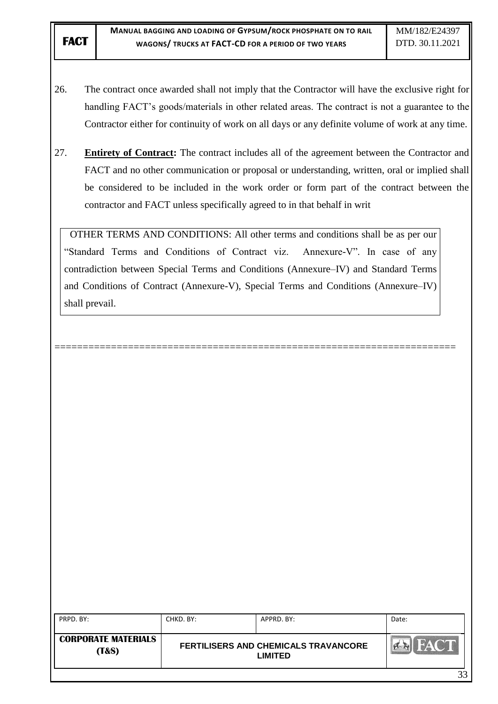- 26. The contract once awarded shall not imply that the Contractor will have the exclusive right for handling FACT's goods/materials in other related areas. The contract is not a guarantee to the Contractor either for continuity of work on all days or any definite volume of work at any time.
- 27. **Entirety of Contract:** The contract includes all of the agreement between the Contractor and FACT and no other communication or proposal or understanding, written, oral or implied shall be considered to be included in the work order or form part of the contract between the contractor and FACT unless specifically agreed to in that behalf in writ

OTHER TERMS AND CONDITIONS: All other terms and conditions shall be as per our "Standard Terms and Conditions of Contract viz. Annexure-V". In case of any contradiction between Special Terms and Conditions (Annexure–IV) and Standard Terms and Conditions of Contract (Annexure-V), Special Terms and Conditions (Annexure–IV) shall prevail.

=======================================================================

| PRPD. BY:                                      | CHKD. BY: | APPRD. BY:                                             | Date:                   |
|------------------------------------------------|-----------|--------------------------------------------------------|-------------------------|
| <b>CORPORATE MATERIALS</b><br><b>(T&amp;S)</b> |           | FERTILISERS AND CHEMICALS TRAVANCORE<br><b>LIMITED</b> |                         |
|                                                |           |                                                        | $\mathbf{2} \mathbf{2}$ |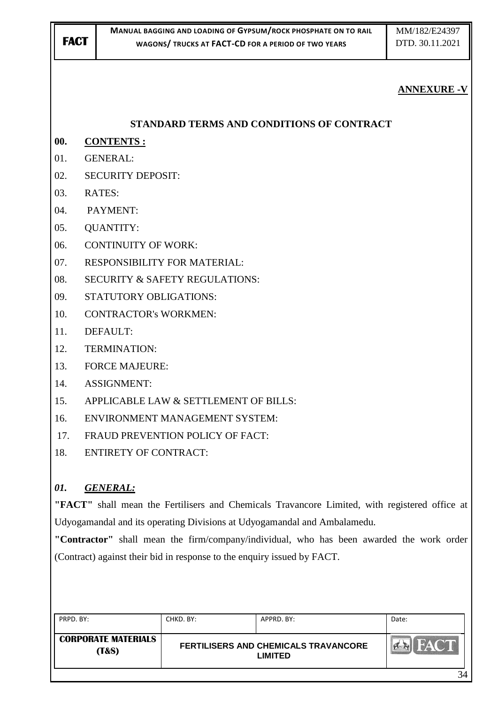# **ANNEXURE -V**

# **STANDARD TERMS AND CONDITIONS OF CONTRACT**

- **00. CONTENTS :**
- 01. GENERAL:
- 02. SECURITY DEPOSIT:
- 03. RATES:
- 04. PAYMENT:
- 05. QUANTITY:
- 06. CONTINUITY OF WORK:
- 07. RESPONSIBILITY FOR MATERIAL:
- 08. SECURITY & SAFETY REGULATIONS:
- 09. STATUTORY OBLIGATIONS:
- 10. CONTRACTOR's WORKMEN:
- 11. DEFAULT:
- 12. TERMINATION:
- 13. FORCE MAJEURE:
- 14. ASSIGNMENT:
- 15. APPLICABLE LAW & SETTLEMENT OF BILLS:
- 16. ENVIRONMENT MANAGEMENT SYSTEM:
- 17. FRAUD PREVENTION POLICY OF FACT:
- 18. ENTIRETY OF CONTRACT:

# *01. GENERAL:*

**"FACT"** shall mean the Fertilisers and Chemicals Travancore Limited, with registered office at Udyogamandal and its operating Divisions at Udyogamandal and Ambalamedu.

**"Contractor"** shall mean the firm/company/individual, who has been awarded the work order (Contract) against their bid in response to the enquiry issued by FACT.

| PRPD. BY:                           | CHKD. BY: | APPRD. BY:                                                    | Date:        |
|-------------------------------------|-----------|---------------------------------------------------------------|--------------|
| <b>CORPORATE MATERIALS</b><br>(T&S) |           | <b>FERTILISERS AND CHEMICALS TRAVANCORE</b><br><b>LIMITED</b> | <b>FACTL</b> |
|                                     |           |                                                               | 34           |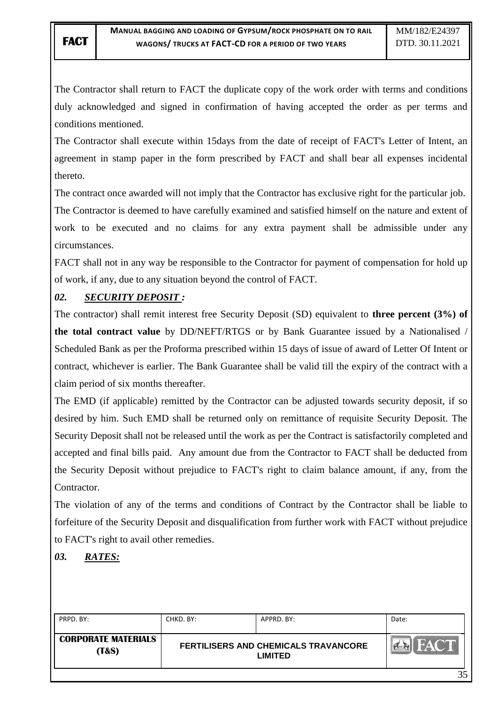The Contractor shall return to FACT the duplicate copy of the work order with terms and conditions duly acknowledged and signed in confirmation of having accepted the order as per terms and conditions mentioned.

The Contractor shall execute within 15days from the date of receipt of FACT's Letter of Intent, an agreement in stamp paper in the form prescribed by FACT and shall bear all expenses incidental thereto.

The contract once awarded will not imply that the Contractor has exclusive right for the particular job. The Contractor is deemed to have carefully examined and satisfied himself on the nature and extent of work to be executed and no claims for any extra payment shall be admissible under any circumstances.

FACT shall not in any way be responsible to the Contractor for payment of compensation for hold up of work, if any, due to any situation beyond the control of FACT.

# *02. SECURITY DEPOSIT :*

The contractor) shall remit interest free Security Deposit (SD) equivalent to **three percent (3%) of the total contract value** by DD/NEFT/RTGS or by Bank Guarantee issued by a Nationalised / Scheduled Bank as per the Proforma prescribed within 15 days of issue of award of Letter Of Intent or contract, whichever is earlier. The Bank Guarantee shall be valid till the expiry of the contract with a claim period of six months thereafter.

The EMD (if applicable) remitted by the Contractor can be adjusted towards security deposit, if so desired by him. Such EMD shall be returned only on remittance of requisite Security Deposit. The Security Deposit shall not be released until the work as per the Contract is satisfactorily completed and accepted and final bills paid. Any amount due from the Contractor to FACT shall be deducted from the Security Deposit without prejudice to FACT's right to claim balance amount, if any, from the Contractor.

The violation of any of the terms and conditions of Contract by the Contractor shall be liable to forfeiture of the Security Deposit and disqualification from further work with FACT without prejudice to FACT's right to avail other remedies.

# *03. RATES:*

| PRPD, BY:                                      | CHKD, BY: | APPRD. BY:                                      | Date: |
|------------------------------------------------|-----------|-------------------------------------------------|-------|
| <b>CORPORATE MATERIALS</b><br><b>(T&amp;S)</b> |           | FERTILISERS AND CHEMICALS TRAVANCORE<br>LIMITED |       |
|                                                |           |                                                 | つく    |

35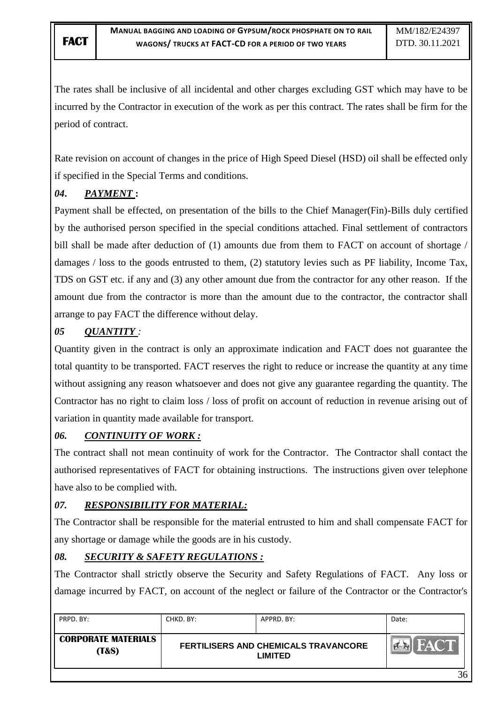The rates shall be inclusive of all incidental and other charges excluding GST which may have to be incurred by the Contractor in execution of the work as per this contract. The rates shall be firm for the period of contract.

Rate revision on account of changes in the price of High Speed Diesel (HSD) oil shall be effected only if specified in the Special Terms and conditions.

# *04***.** *PAYMENT* **:**

Payment shall be effected, on presentation of the bills to the Chief Manager(Fin)-Bills duly certified by the authorised person specified in the special conditions attached. Final settlement of contractors bill shall be made after deduction of (1) amounts due from them to FACT on account of shortage / damages / loss to the goods entrusted to them, (2) statutory levies such as PF liability, Income Tax, TDS on GST etc. if any and (3) any other amount due from the contractor for any other reason. If the amount due from the contractor is more than the amount due to the contractor, the contractor shall arrange to pay FACT the difference without delay.

# *05 QUANTITY :*

Quantity given in the contract is only an approximate indication and FACT does not guarantee the total quantity to be transported. FACT reserves the right to reduce or increase the quantity at any time without assigning any reason whatsoever and does not give any guarantee regarding the quantity. The Contractor has no right to claim loss / loss of profit on account of reduction in revenue arising out of variation in quantity made available for transport.

# *06. CONTINUITY OF WORK :*

The contract shall not mean continuity of work for the Contractor. The Contractor shall contact the authorised representatives of FACT for obtaining instructions. The instructions given over telephone have also to be complied with.

# *07. RESPONSIBILITY FOR MATERIAL:*

The Contractor shall be responsible for the material entrusted to him and shall compensate FACT for any shortage or damage while the goods are in his custody.

# *08. SECURITY & SAFETY REGULATIONS :*

The Contractor shall strictly observe the Security and Safety Regulations of FACT. Any loss or damage incurred by FACT, on account of the neglect or failure of the Contractor or the Contractor's

| PRPD. BY:                                      | CHKD. BY: | APPRD. BY:                                             | Date:                        |
|------------------------------------------------|-----------|--------------------------------------------------------|------------------------------|
| <b>CORPORATE MATERIALS</b><br><b>(T&amp;S)</b> |           | FERTILISERS AND CHEMICALS TRAVANCORE<br><b>LIMITED</b> | <b>FACT</b><br><b>Pine R</b> |
|                                                |           |                                                        | 36                           |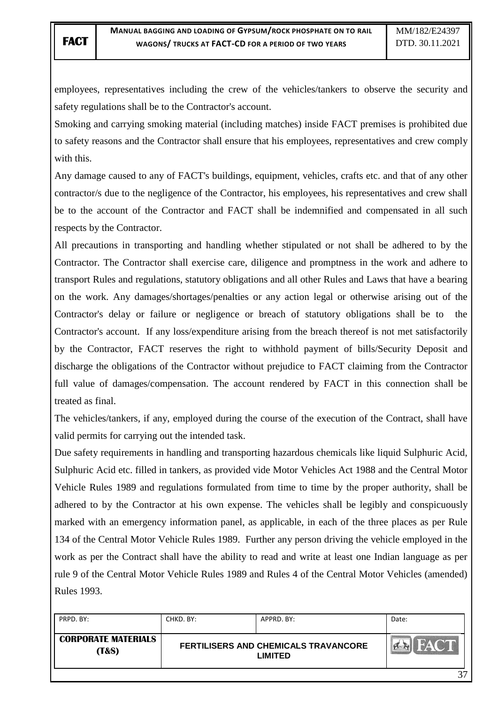employees, representatives including the crew of the vehicles/tankers to observe the security and safety regulations shall be to the Contractor's account.

Smoking and carrying smoking material (including matches) inside FACT premises is prohibited due to safety reasons and the Contractor shall ensure that his employees, representatives and crew comply with this.

Any damage caused to any of FACT's buildings, equipment, vehicles, crafts etc. and that of any other contractor/s due to the negligence of the Contractor, his employees, his representatives and crew shall be to the account of the Contractor and FACT shall be indemnified and compensated in all such respects by the Contractor.

All precautions in transporting and handling whether stipulated or not shall be adhered to by the Contractor. The Contractor shall exercise care, diligence and promptness in the work and adhere to transport Rules and regulations, statutory obligations and all other Rules and Laws that have a bearing on the work. Any damages/shortages/penalties or any action legal or otherwise arising out of the Contractor's delay or failure or negligence or breach of statutory obligations shall be to the Contractor's account. If any loss/expenditure arising from the breach thereof is not met satisfactorily by the Contractor, FACT reserves the right to withhold payment of bills/Security Deposit and discharge the obligations of the Contractor without prejudice to FACT claiming from the Contractor full value of damages/compensation. The account rendered by FACT in this connection shall be treated as final.

The vehicles/tankers, if any, employed during the course of the execution of the Contract, shall have valid permits for carrying out the intended task.

Due safety requirements in handling and transporting hazardous chemicals like liquid Sulphuric Acid, Sulphuric Acid etc. filled in tankers, as provided vide Motor Vehicles Act 1988 and the Central Motor Vehicle Rules 1989 and regulations formulated from time to time by the proper authority, shall be adhered to by the Contractor at his own expense. The vehicles shall be legibly and conspicuously marked with an emergency information panel, as applicable, in each of the three places as per Rule 134 of the Central Motor Vehicle Rules 1989. Further any person driving the vehicle employed in the work as per the Contract shall have the ability to read and write at least one Indian language as per rule 9 of the Central Motor Vehicle Rules 1989 and Rules 4 of the Central Motor Vehicles (amended) Rules 1993.

| PRPD, BY:                                      | CHKD, BY: | APPRD, BY:                                             | Date: |
|------------------------------------------------|-----------|--------------------------------------------------------|-------|
| <b>CORPORATE MATERIALS</b><br><b>(T&amp;S)</b> |           | FERTILISERS AND CHEMICALS TRAVANCORE<br><b>LIMITED</b> |       |
|                                                |           |                                                        | 27    |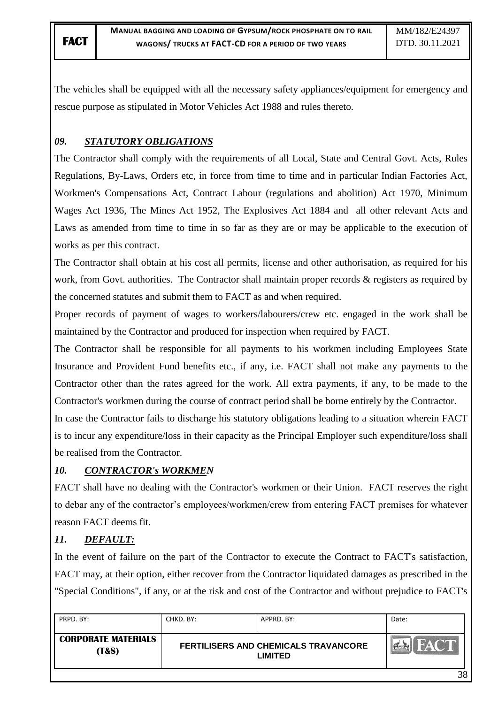The vehicles shall be equipped with all the necessary safety appliances/equipment for emergency and rescue purpose as stipulated in Motor Vehicles Act 1988 and rules thereto.

# *09. STATUTORY OBLIGATIONS*

The Contractor shall comply with the requirements of all Local, State and Central Govt. Acts, Rules Regulations, By-Laws, Orders etc, in force from time to time and in particular Indian Factories Act, Workmen's Compensations Act, Contract Labour (regulations and abolition) Act 1970, Minimum Wages Act 1936, The Mines Act 1952, The Explosives Act 1884 and all other relevant Acts and Laws as amended from time to time in so far as they are or may be applicable to the execution of works as per this contract.

The Contractor shall obtain at his cost all permits, license and other authorisation, as required for his work, from Govt. authorities. The Contractor shall maintain proper records & registers as required by the concerned statutes and submit them to FACT as and when required.

Proper records of payment of wages to workers/labourers/crew etc. engaged in the work shall be maintained by the Contractor and produced for inspection when required by FACT.

The Contractor shall be responsible for all payments to his workmen including Employees State Insurance and Provident Fund benefits etc., if any, i.e. FACT shall not make any payments to the Contractor other than the rates agreed for the work. All extra payments, if any, to be made to the Contractor's workmen during the course of contract period shall be borne entirely by the Contractor.

In case the Contractor fails to discharge his statutory obligations leading to a situation wherein FACT is to incur any expenditure/loss in their capacity as the Principal Employer such expenditure/loss shall be realised from the Contractor.

## *10. CONTRACTOR's WORKMEN*

FACT shall have no dealing with the Contractor's workmen or their Union. FACT reserves the right to debar any of the contractor's employees/workmen/crew from entering FACT premises for whatever reason FACT deems fit.

# *11. DEFAULT:*

In the event of failure on the part of the Contractor to execute the Contract to FACT's satisfaction, FACT may, at their option, either recover from the Contractor liquidated damages as prescribed in the "Special Conditions", if any, or at the risk and cost of the Contractor and without prejudice to FACT's

| PRPD. BY:                                      | CHKD. BY:                                                     | APPRD. BY: | Date:                                 |
|------------------------------------------------|---------------------------------------------------------------|------------|---------------------------------------|
| <b>CORPORATE MATERIALS</b><br><b>(T&amp;S)</b> | <b>FERTILISERS AND CHEMICALS TRAVANCORE</b><br><b>LIMITED</b> |            | $\frac{1}{2}$<br><b>Principal Age</b> |
|                                                |                                                               |            | 38                                    |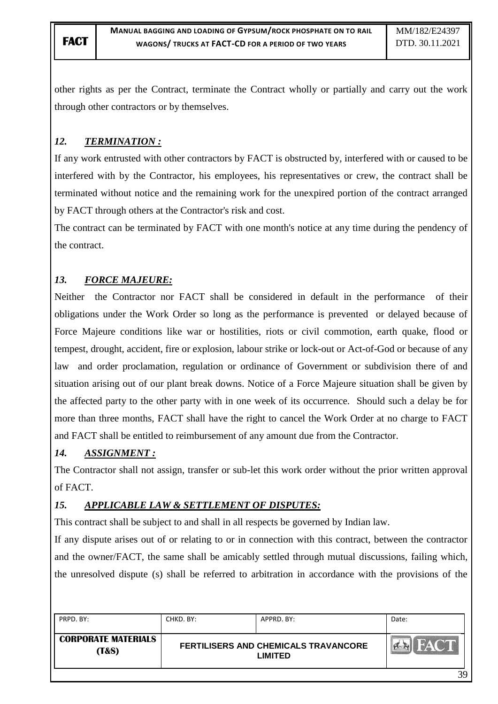other rights as per the Contract, terminate the Contract wholly or partially and carry out the work through other contractors or by themselves.

# *12. TERMINATION :*

If any work entrusted with other contractors by FACT is obstructed by, interfered with or caused to be interfered with by the Contractor, his employees, his representatives or crew, the contract shall be terminated without notice and the remaining work for the unexpired portion of the contract arranged by FACT through others at the Contractor's risk and cost.

The contract can be terminated by FACT with one month's notice at any time during the pendency of the contract.

# *13. FORCE MAJEURE:*

Neither the Contractor nor FACT shall be considered in default in the performance of their obligations under the Work Order so long as the performance is prevented or delayed because of Force Majeure conditions like war or hostilities, riots or civil commotion, earth quake, flood or tempest, drought, accident, fire or explosion, labour strike or lock-out or Act-of-God or because of any law and order proclamation, regulation or ordinance of Government or subdivision there of and situation arising out of our plant break downs. Notice of a Force Majeure situation shall be given by the affected party to the other party with in one week of its occurrence. Should such a delay be for more than three months, FACT shall have the right to cancel the Work Order at no charge to FACT and FACT shall be entitled to reimbursement of any amount due from the Contractor.

# *14. ASSIGNMENT :*

The Contractor shall not assign, transfer or sub-let this work order without the prior written approval of FACT.

# *15. APPLICABLE LAW & SETTLEMENT OF DISPUTES:*

This contract shall be subject to and shall in all respects be governed by Indian law.

If any dispute arises out of or relating to or in connection with this contract, between the contractor and the owner/FACT, the same shall be amicably settled through mutual discussions, failing which, the unresolved dispute (s) shall be referred to arbitration in accordance with the provisions of the

| PRPD, BY:                                      | CHKD. BY:                                                     | APPRD. BY: | Date:       |
|------------------------------------------------|---------------------------------------------------------------|------------|-------------|
| <b>CORPORATE MATERIALS</b><br><b>(T&amp;S)</b> | <b>FERTILISERS AND CHEMICALS TRAVANCORE</b><br><b>LIMITED</b> |            | <b>FACT</b> |
|                                                |                                                               |            | 39          |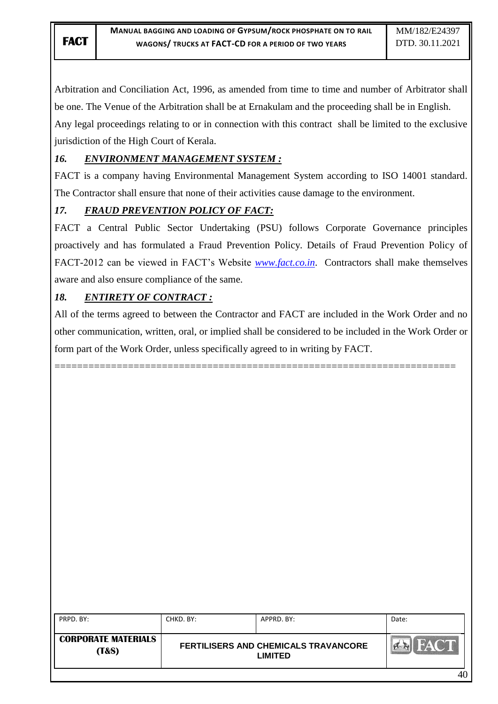Arbitration and Conciliation Act, 1996, as amended from time to time and number of Arbitrator shall be one. The Venue of the Arbitration shall be at Ernakulam and the proceeding shall be in English. Any legal proceedings relating to or in connection with this contract shall be limited to the exclusive

jurisdiction of the High Court of Kerala.

# *16. ENVIRONMENT MANAGEMENT SYSTEM :*

FACT is a company having Environmental Management System according to ISO 14001 standard. The Contractor shall ensure that none of their activities cause damage to the environment.

# *17. FRAUD PREVENTION POLICY OF FACT:*

FACT a Central Public Sector Undertaking (PSU) follows Corporate Governance principles proactively and has formulated a Fraud Prevention Policy. Details of Fraud Prevention Policy of FACT-2012 can be viewed in FACT"s Website *[www.fact.co.in](http://www.fact.co.in/)*. Contractors shall make themselves aware and also ensure compliance of the same.

# *18. ENTIRETY OF CONTRACT :*

All of the terms agreed to between the Contractor and FACT are included in the Work Order and no other communication, written, oral, or implied shall be considered to be included in the Work Order or form part of the Work Order, unless specifically agreed to in writing by FACT.

=======================================================================

| PRPD. BY:                                      | CHKD. BY: | APPRD, BY:                                             | Date: |
|------------------------------------------------|-----------|--------------------------------------------------------|-------|
| <b>CORPORATE MATERIALS</b><br><b>(T&amp;S)</b> |           | FERTILISERS AND CHEMICALS TRAVANCORE<br><b>LIMITED</b> | FACT. |
|                                                |           |                                                        | 40    |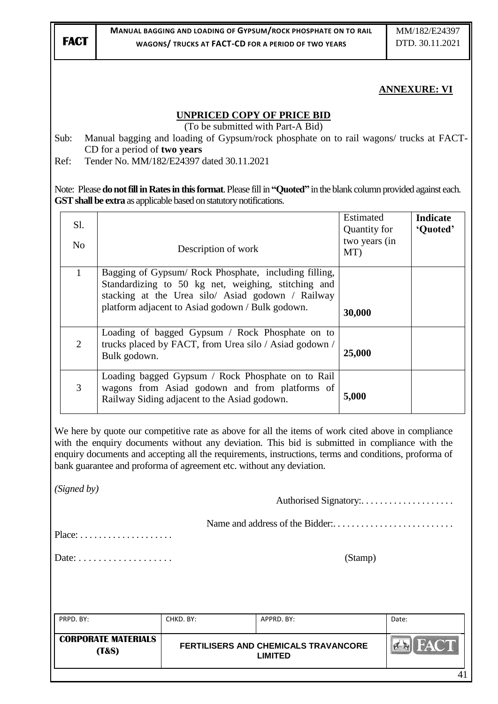# **ANNEXURE: VI**

#### **UNPRICED COPY OF PRICE BID**

(To be submitted with Part-A Bid)

Sub: Manual bagging and loading of Gypsum/rock phosphate on to rail wagons/ trucks at FACT-CD for a period of **two years**

Ref: Tender No. MM/182/E24397 dated 30.11.2021

Note: Please **do not fill in Rates in this format**. Please fill in **"Quoted"** in the blank column provided against each. **GST shall be extra** as applicable based on statutory notifications.

| Sl.<br>N <sub>0</sub> | Description of work                                                                                                                                                                                                   | Estimated<br>Quantity for<br>two years (in<br>MT) | <b>Indicate</b><br>'Quoted' |
|-----------------------|-----------------------------------------------------------------------------------------------------------------------------------------------------------------------------------------------------------------------|---------------------------------------------------|-----------------------------|
| $\mathbf{1}$          | Bagging of Gypsum/ Rock Phosphate, including filling,<br>Standardizing to 50 kg net, weighing, stitching and<br>stacking at the Urea silo/ Asiad godown / Railway<br>platform adjacent to Asiad godown / Bulk godown. | 30,000                                            |                             |
| $\overline{2}$        | Loading of bagged Gypsum / Rock Phosphate on to<br>trucks placed by FACT, from Urea silo / Asiad godown /<br>Bulk godown.                                                                                             | 25,000                                            |                             |
| 3                     | Loading bagged Gypsum / Rock Phosphate on to Rail<br>wagons from Asiad godown and from platforms of<br>Railway Siding adjacent to the Asiad godown.                                                                   | 5,000                                             |                             |

We here by quote our competitive rate as above for all the items of work cited above in compliance with the enquiry documents without any deviation. This bid is submitted in compliance with the enquiry documents and accepting all the requirements, instructions, terms and conditions, proforma of bank guarantee and proforma of agreement etc. without any deviation.

*(Signed by)*

Name and address of the Bidder:.................

Place: . . . . . . . . . . . . . . . . . . . .

Date: . . . . . . . . . . . . . . . . . . . (Stamp)

PRPD. BY: CHKD. BY: APPRD. BY: APPRD. BY: Date: **CORPORATE MATERIALS FERTILISERS AND CHEMICALS TRAVANCORE**   $7 - 1$ **(T&S) LIMITED** 41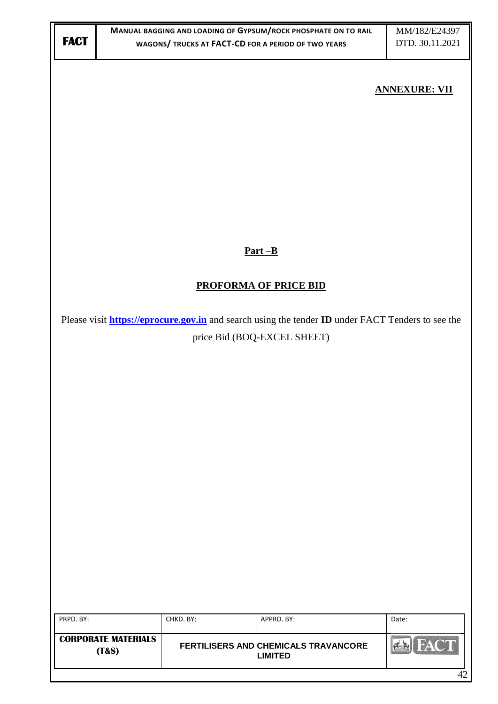| <b>FACT</b> |                            |           | MANUAL BAGGING AND LOADING OF GYPSUM/ROCK PHOSPHATE ON TO RAIL<br>WAGONS/ TRUCKS AT FACT-CD FOR A PERIOD OF TWO YEARS | MM/182/E24397<br>DTD. 30.11.2021 |  |
|-------------|----------------------------|-----------|-----------------------------------------------------------------------------------------------------------------------|----------------------------------|--|
|             |                            |           |                                                                                                                       |                                  |  |
|             | <b>ANNEXURE: VII</b>       |           |                                                                                                                       |                                  |  |
|             |                            |           |                                                                                                                       |                                  |  |
|             |                            |           |                                                                                                                       |                                  |  |
|             |                            |           |                                                                                                                       |                                  |  |
|             |                            |           |                                                                                                                       |                                  |  |
|             |                            |           |                                                                                                                       |                                  |  |
|             |                            |           |                                                                                                                       |                                  |  |
|             |                            |           | $Part-B$                                                                                                              |                                  |  |
|             |                            |           |                                                                                                                       |                                  |  |
|             |                            |           | <b>PROFORMA OF PRICE BID</b>                                                                                          |                                  |  |
|             |                            |           | Please visit <b>https://eprocure.gov.in</b> and search using the tender <b>ID</b> under FACT Tenders to see the       |                                  |  |
|             |                            |           | price Bid (BOQ-EXCEL SHEET)                                                                                           |                                  |  |
|             |                            |           |                                                                                                                       |                                  |  |
|             |                            |           |                                                                                                                       |                                  |  |
|             |                            |           |                                                                                                                       |                                  |  |
|             |                            |           |                                                                                                                       |                                  |  |
|             |                            |           |                                                                                                                       |                                  |  |
|             |                            |           |                                                                                                                       |                                  |  |
|             |                            |           |                                                                                                                       |                                  |  |
|             |                            |           |                                                                                                                       |                                  |  |
|             |                            |           |                                                                                                                       |                                  |  |
|             |                            |           |                                                                                                                       |                                  |  |
|             |                            |           |                                                                                                                       |                                  |  |
| PRPD. BY:   |                            | CHKD. BY: | APPRD. BY:                                                                                                            | Date:                            |  |
|             | <b>CORPORATE MATERIALS</b> |           | FERTILISERS AND CHEMICALS TRAVANCORE                                                                                  | <b>EN FACT</b>                   |  |
|             | (T&S)                      |           | <b>LIMITED</b>                                                                                                        | 42                               |  |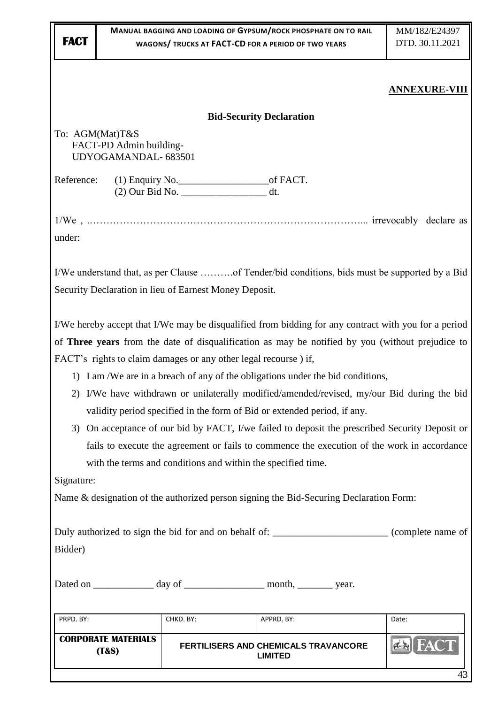|                                                                                                             |                                                                                                                                                    |                                                        | MANUAL BAGGING AND LOADING OF GYPSUM/ROCK PHOSPHATE ON TO RAIL                                                                                                                                | MM/182/E24397        |  |  |  |
|-------------------------------------------------------------------------------------------------------------|----------------------------------------------------------------------------------------------------------------------------------------------------|--------------------------------------------------------|-----------------------------------------------------------------------------------------------------------------------------------------------------------------------------------------------|----------------------|--|--|--|
| <b>FACT</b>                                                                                                 |                                                                                                                                                    |                                                        | WAGONS/ TRUCKS AT FACT-CD FOR A PERIOD OF TWO YEARS                                                                                                                                           | DTD. 30.11.2021      |  |  |  |
|                                                                                                             |                                                                                                                                                    |                                                        |                                                                                                                                                                                               |                      |  |  |  |
|                                                                                                             |                                                                                                                                                    |                                                        |                                                                                                                                                                                               | <b>ANNEXURE-VIII</b> |  |  |  |
|                                                                                                             |                                                                                                                                                    |                                                        |                                                                                                                                                                                               |                      |  |  |  |
|                                                                                                             |                                                                                                                                                    |                                                        | <b>Bid-Security Declaration</b>                                                                                                                                                               |                      |  |  |  |
|                                                                                                             | To: AGM(Mat)T&S<br>FACT-PD Admin building-                                                                                                         |                                                        |                                                                                                                                                                                               |                      |  |  |  |
|                                                                                                             | UDYOGAMANDAL-683501                                                                                                                                |                                                        |                                                                                                                                                                                               |                      |  |  |  |
| Reference:                                                                                                  |                                                                                                                                                    |                                                        |                                                                                                                                                                                               |                      |  |  |  |
|                                                                                                             |                                                                                                                                                    |                                                        |                                                                                                                                                                                               |                      |  |  |  |
|                                                                                                             |                                                                                                                                                    |                                                        |                                                                                                                                                                                               |                      |  |  |  |
|                                                                                                             |                                                                                                                                                    |                                                        |                                                                                                                                                                                               |                      |  |  |  |
| under:                                                                                                      |                                                                                                                                                    |                                                        |                                                                                                                                                                                               |                      |  |  |  |
|                                                                                                             |                                                                                                                                                    |                                                        |                                                                                                                                                                                               |                      |  |  |  |
|                                                                                                             |                                                                                                                                                    |                                                        | I/We understand that, as per Clause of Tender/bid conditions, bids must be supported by a Bid                                                                                                 |                      |  |  |  |
|                                                                                                             |                                                                                                                                                    | Security Declaration in lieu of Earnest Money Deposit. |                                                                                                                                                                                               |                      |  |  |  |
|                                                                                                             |                                                                                                                                                    |                                                        | I/We hereby accept that I/We may be disqualified from bidding for any contract with you for a period                                                                                          |                      |  |  |  |
|                                                                                                             |                                                                                                                                                    |                                                        |                                                                                                                                                                                               |                      |  |  |  |
|                                                                                                             |                                                                                                                                                    |                                                        | of Three years from the date of disqualification as may be notified by you (without prejudice to                                                                                              |                      |  |  |  |
|                                                                                                             | FACT's rights to claim damages or any other legal recourse) if,<br>1) I am /We are in a breach of any of the obligations under the bid conditions, |                                                        |                                                                                                                                                                                               |                      |  |  |  |
|                                                                                                             |                                                                                                                                                    |                                                        | 2) I/We have withdrawn or unilaterally modified/amended/revised, my/our Bid during the bid                                                                                                    |                      |  |  |  |
|                                                                                                             |                                                                                                                                                    |                                                        | validity period specified in the form of Bid or extended period, if any.                                                                                                                      |                      |  |  |  |
|                                                                                                             |                                                                                                                                                    |                                                        |                                                                                                                                                                                               |                      |  |  |  |
|                                                                                                             |                                                                                                                                                    |                                                        | 3) On acceptance of our bid by FACT, I/we failed to deposit the prescribed Security Deposit or<br>fails to execute the agreement or fails to commence the execution of the work in accordance |                      |  |  |  |
|                                                                                                             |                                                                                                                                                    |                                                        | with the terms and conditions and within the specified time.                                                                                                                                  |                      |  |  |  |
| Signature:                                                                                                  |                                                                                                                                                    |                                                        |                                                                                                                                                                                               |                      |  |  |  |
|                                                                                                             |                                                                                                                                                    |                                                        | Name & designation of the authorized person signing the Bid-Securing Declaration Form:                                                                                                        |                      |  |  |  |
|                                                                                                             |                                                                                                                                                    |                                                        |                                                                                                                                                                                               |                      |  |  |  |
|                                                                                                             |                                                                                                                                                    |                                                        |                                                                                                                                                                                               |                      |  |  |  |
| Duly authorized to sign the bid for and on behalf of: _________________________(complete name of<br>Bidder) |                                                                                                                                                    |                                                        |                                                                                                                                                                                               |                      |  |  |  |
|                                                                                                             |                                                                                                                                                    |                                                        |                                                                                                                                                                                               |                      |  |  |  |
|                                                                                                             |                                                                                                                                                    |                                                        | Dated on ______________ day of ___________________ month, _________ year.                                                                                                                     |                      |  |  |  |
|                                                                                                             |                                                                                                                                                    |                                                        |                                                                                                                                                                                               |                      |  |  |  |
| PRPD. BY:                                                                                                   |                                                                                                                                                    | CHKD. BY:                                              | APPRD. BY:                                                                                                                                                                                    | Date:                |  |  |  |
|                                                                                                             | <b>CORPORATE MATERIALS</b>                                                                                                                         |                                                        |                                                                                                                                                                                               |                      |  |  |  |
|                                                                                                             | (T&S)                                                                                                                                              |                                                        | FERTILISERS AND CHEMICALS TRAVANCORE<br><b>LIMITED</b>                                                                                                                                        |                      |  |  |  |
|                                                                                                             |                                                                                                                                                    |                                                        |                                                                                                                                                                                               | 43                   |  |  |  |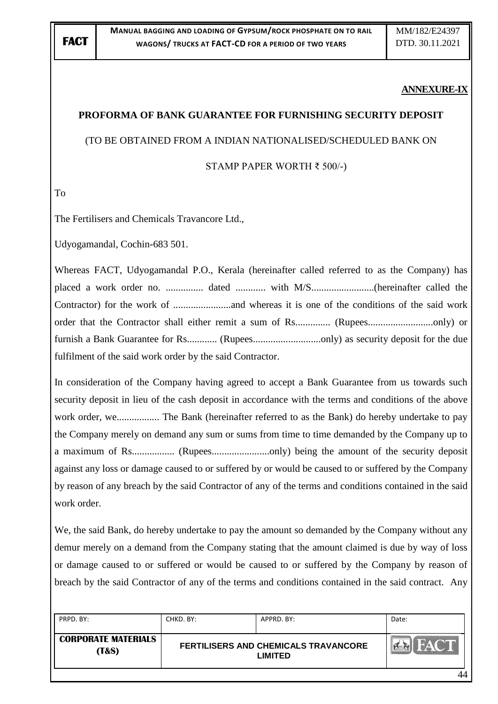#### **ANNEXURE-IX**

## **PROFORMA OF BANK GUARANTEE FOR FURNISHING SECURITY DEPOSIT**

#### (TO BE OBTAINED FROM A INDIAN NATIONALISED/SCHEDULED BANK ON

#### STAMP PAPER WORTH ₹ 500/-)

To

The Fertilisers and Chemicals Travancore Ltd.,

Udyogamandal, Cochin-683 501.

Whereas FACT, Udyogamandal P.O., Kerala (hereinafter called referred to as the Company) has placed a work order no. ............... dated ............ with M/S.........................(hereinafter called the Contractor) for the work of .......................and whereas it is one of the conditions of the said work order that the Contractor shall either remit a sum of Rs.............. (Rupees..........................only) or furnish a Bank Guarantee for Rs............ (Rupees...........................only) as security deposit for the due fulfilment of the said work order by the said Contractor.

In consideration of the Company having agreed to accept a Bank Guarantee from us towards such security deposit in lieu of the cash deposit in accordance with the terms and conditions of the above work order, we................. The Bank (hereinafter referred to as the Bank) do hereby undertake to pay the Company merely on demand any sum or sums from time to time demanded by the Company up to a maximum of Rs................. (Rupees.......................only) being the amount of the security deposit against any loss or damage caused to or suffered by or would be caused to or suffered by the Company by reason of any breach by the said Contractor of any of the terms and conditions contained in the said work order.

We, the said Bank, do hereby undertake to pay the amount so demanded by the Company without any demur merely on a demand from the Company stating that the amount claimed is due by way of loss or damage caused to or suffered or would be caused to or suffered by the Company by reason of breach by the said Contractor of any of the terms and conditions contained in the said contract. Any

| PRPD, BY:                                      | CHKD. BY:                                       | APPRD, BY: | Date:       |
|------------------------------------------------|-------------------------------------------------|------------|-------------|
| <b>CORPORATE MATERIALS</b><br><b>(T&amp;S)</b> | FERTILISERS AND CHEMICALS TRAVANCORE<br>LIMITED |            | <b>HACT</b> |
|                                                |                                                 |            | 44          |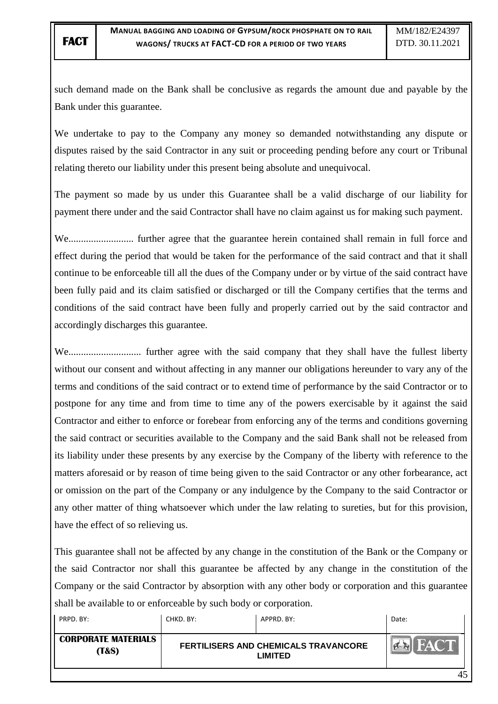such demand made on the Bank shall be conclusive as regards the amount due and payable by the Bank under this guarantee.

We undertake to pay to the Company any money so demanded notwithstanding any dispute or disputes raised by the said Contractor in any suit or proceeding pending before any court or Tribunal relating thereto our liability under this present being absolute and unequivocal.

The payment so made by us under this Guarantee shall be a valid discharge of our liability for payment there under and the said Contractor shall have no claim against us for making such payment.

We.......................... further agree that the guarantee herein contained shall remain in full force and effect during the period that would be taken for the performance of the said contract and that it shall continue to be enforceable till all the dues of the Company under or by virtue of the said contract have been fully paid and its claim satisfied or discharged or till the Company certifies that the terms and conditions of the said contract have been fully and properly carried out by the said contractor and accordingly discharges this guarantee.

We............................. further agree with the said company that they shall have the fullest liberty without our consent and without affecting in any manner our obligations hereunder to vary any of the terms and conditions of the said contract or to extend time of performance by the said Contractor or to postpone for any time and from time to time any of the powers exercisable by it against the said Contractor and either to enforce or forebear from enforcing any of the terms and conditions governing the said contract or securities available to the Company and the said Bank shall not be released from its liability under these presents by any exercise by the Company of the liberty with reference to the matters aforesaid or by reason of time being given to the said Contractor or any other forbearance, act or omission on the part of the Company or any indulgence by the Company to the said Contractor or any other matter of thing whatsoever which under the law relating to sureties, but for this provision, have the effect of so relieving us.

This guarantee shall not be affected by any change in the constitution of the Bank or the Company or the said Contractor nor shall this guarantee be affected by any change in the constitution of the Company or the said Contractor by absorption with any other body or corporation and this guarantee shall be available to or enforceable by such body or corporation.

| PRPD, BY:                                      | CHKD. BY: | APPRD, BY:                                      | Date: |
|------------------------------------------------|-----------|-------------------------------------------------|-------|
| <b>CORPORATE MATERIALS</b><br><b>(T&amp;S)</b> |           | FERTILISERS AND CHEMICALS TRAVANCORE<br>LIMITED |       |
|                                                |           |                                                 |       |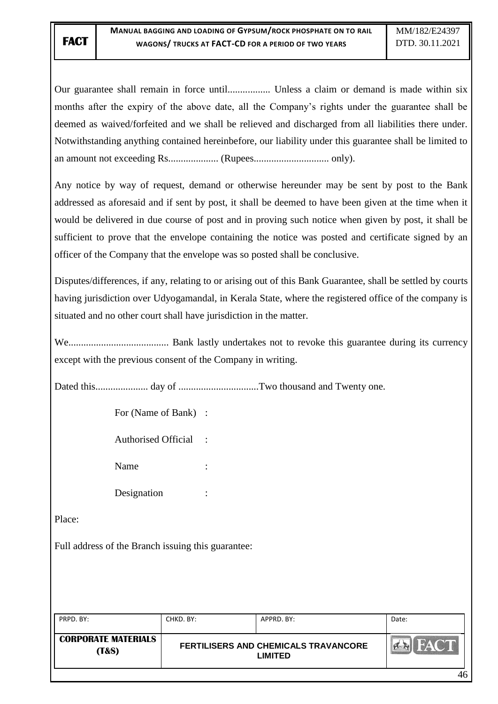Our guarantee shall remain in force until................. Unless a claim or demand is made within six months after the expiry of the above date, all the Company"s rights under the guarantee shall be deemed as waived/forfeited and we shall be relieved and discharged from all liabilities there under. Notwithstanding anything contained hereinbefore, our liability under this guarantee shall be limited to an amount not exceeding Rs.................... (Rupees.............................. only).

Any notice by way of request, demand or otherwise hereunder may be sent by post to the Bank addressed as aforesaid and if sent by post, it shall be deemed to have been given at the time when it would be delivered in due course of post and in proving such notice when given by post, it shall be sufficient to prove that the envelope containing the notice was posted and certificate signed by an officer of the Company that the envelope was so posted shall be conclusive.

Disputes/differences, if any, relating to or arising out of this Bank Guarantee, shall be settled by courts having jurisdiction over Udyogamandal, in Kerala State, where the registered office of the company is situated and no other court shall have jurisdiction in the matter.

We........................................ Bank lastly undertakes not to revoke this guarantee during its currency except with the previous consent of the Company in writing.

Dated this..................... day of ................................Two thousand and Twenty one.

For (Name of Bank) :

Authorised Official :

Name :

Designation :

Place:

Full address of the Branch issuing this guarantee:

| PRPD, BY:                                      | CHKD. BY: | APPRD. BY:                                      | Date:       |
|------------------------------------------------|-----------|-------------------------------------------------|-------------|
| <b>CORPORATE MATERIALS</b><br><b>(T&amp;S)</b> |           | FERTILISERS AND CHEMICALS TRAVANCORE<br>LIMITED | <b>FACT</b> |
|                                                |           |                                                 |             |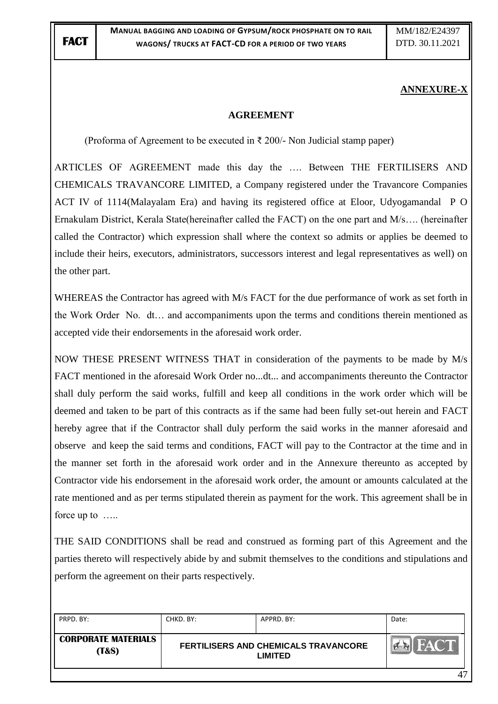## **ANNEXURE-X**

#### **AGREEMENT**

(Proforma of Agreement to be executed in  $\bar{\tau}$  200/- Non Judicial stamp paper)

ARTICLES OF AGREEMENT made this day the …. Between THE FERTILISERS AND CHEMICALS TRAVANCORE LIMITED, a Company registered under the Travancore Companies ACT IV of 1114(Malayalam Era) and having its registered office at Eloor, Udyogamandal P O Ernakulam District, Kerala State(hereinafter called the FACT) on the one part and M/s…. (hereinafter called the Contractor) which expression shall where the context so admits or applies be deemed to include their heirs, executors, administrators, successors interest and legal representatives as well) on the other part.

WHEREAS the Contractor has agreed with M/s FACT for the due performance of work as set forth in the Work Order No. dt… and accompaniments upon the terms and conditions therein mentioned as accepted vide their endorsements in the aforesaid work order.

NOW THESE PRESENT WITNESS THAT in consideration of the payments to be made by M/s FACT mentioned in the aforesaid Work Order no...dt... and accompaniments thereunto the Contractor shall duly perform the said works, fulfill and keep all conditions in the work order which will be deemed and taken to be part of this contracts as if the same had been fully set-out herein and FACT hereby agree that if the Contractor shall duly perform the said works in the manner aforesaid and observe and keep the said terms and conditions, FACT will pay to the Contractor at the time and in the manner set forth in the aforesaid work order and in the Annexure thereunto as accepted by Contractor vide his endorsement in the aforesaid work order, the amount or amounts calculated at the rate mentioned and as per terms stipulated therein as payment for the work. This agreement shall be in force up to …..

THE SAID CONDITIONS shall be read and construed as forming part of this Agreement and the parties thereto will respectively abide by and submit themselves to the conditions and stipulations and perform the agreement on their parts respectively.

| PRPD, BY:                                      | CHKD. BY: | APPRD. BY:                                             | Date:    |
|------------------------------------------------|-----------|--------------------------------------------------------|----------|
| <b>CORPORATE MATERIALS</b><br><b>(T&amp;S)</b> |           | FERTILISERS AND CHEMICALS TRAVANCORE<br><b>LIMITED</b> | EACT     |
|                                                |           |                                                        | $\Delta$ |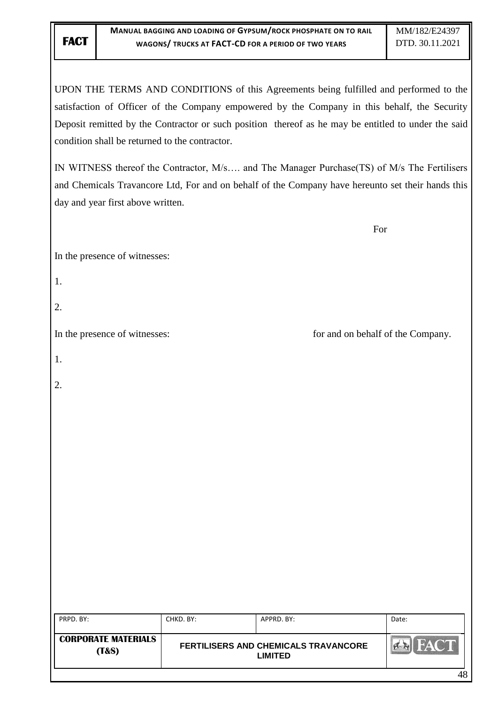UPON THE TERMS AND CONDITIONS of this Agreements being fulfilled and performed to the satisfaction of Officer of the Company empowered by the Company in this behalf, the Security Deposit remitted by the Contractor or such position thereof as he may be entitled to under the said condition shall be returned to the contractor.

IN WITNESS thereof the Contractor, M/s…. and The Manager Purchase(TS) of M/s The Fertilisers and Chemicals Travancore Ltd, For and on behalf of the Company have hereunto set their hands this day and year first above written.

For

In the presence of witnesses:

- 1.
- 2.

In the presence of witnesses: for and on behalf of the Company.

| $\sim$ |  |
|--------|--|

2.

| PRPD. BY:                                      | CHKD. BY: | APPRD, BY:                                                    | Date:       |
|------------------------------------------------|-----------|---------------------------------------------------------------|-------------|
| <b>CORPORATE MATERIALS</b><br><b>(T&amp;S)</b> |           | <b>FERTILISERS AND CHEMICALS TRAVANCORE</b><br><b>LIMITED</b> | <b>FACT</b> |
|                                                |           |                                                               | 48          |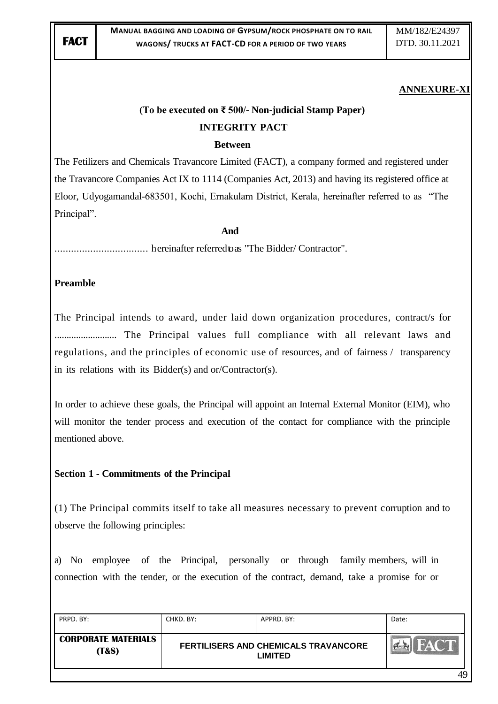#### **ANNEXURE-XI**

# **(To be executed on ₹ 500/- Non-judicial Stamp Paper) INTEGRITY PACT**

#### **Between**

The Fetilizers and Chemicals Travancore Limited (FACT), a company formed and registered under the Travancore Companies Act IX to 1114 (Companies Act, 2013) and having its registered office at Eloor, Udyogamandal-683501, Kochi, Ernakulam District, Kerala, hereinafter referred to as "The Principal".

#### **And**

.................................. hereinafter referredtoas "The Bidder/ Contractor".

#### **Preamble**

The Principal intends to award, under laid down organization procedures, contract/s for .......................... The Principal values full compliance with all relevant laws and regulations, and the principles of economic use of resources, and of fairness / transparency in its relations with its Bidder(s) and or/Contractor(s).

In order to achieve these goals, the Principal will appoint an Internal External Monitor (EIM), who will monitor the tender process and execution of the contact for compliance with the principle mentioned above.

#### **Section 1 - Commitments of the Principal**

(1) The Principal commits itself to take all measures necessary to prevent corruption and to observe the following principles:

a) No employee of the Principal, personally or through family members, will in connection with the tender, or the execution of the contract, demand, take a promise for or

| PRPD. BY:                                      | CHKD. BY: | APPRD. BY:                                                    | Date: |
|------------------------------------------------|-----------|---------------------------------------------------------------|-------|
| <b>CORPORATE MATERIALS</b><br><b>(T&amp;S)</b> |           | <b>FERTILISERS AND CHEMICALS TRAVANCORE</b><br><b>LIMITED</b> | HACT  |
|                                                |           |                                                               | 49    |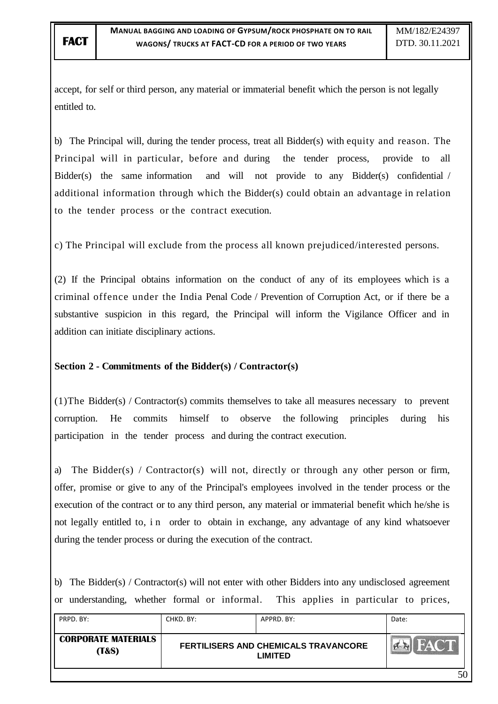accept, for self or third person, any material or immaterial benefit which the person is not legally entitled to.

b) The Principal will, during the tender process, treat all Bidder(s) with equity and reason. The Principal will in particular, before and during the tender process, provide to all Bidder(s) the same information and will not provide to any Bidder(s) confidential / additional information through which the Bidder(s) could obtain an advantage in relation to the tender process or the contract execution.

c) The Principal will exclude from the process all known prejudiced/interested persons.

(2) If the Principal obtains information on the conduct of any of its employees which is a criminal offence under the India Penal Code / Prevention of Corruption Act, or if there be a substantive suspicion in this regard, the Principal will inform the Vigilance Officer and in addition can initiate disciplinary actions.

## **Section 2 - Commitments of the Bidder(s) / Contractor(s)**

(1)The Bidder(s) / Contractor(s) commits themselves to take all measures necessary to prevent corruption. He commits himself to observe the following principles during his participation in the tender process and during the contract execution.

a) The Bidder(s) / Contractor(s) will not, directly or through any other person or firm, offer, promise or give to any of the Principal's employees involved in the tender process or the execution of the contract or to any third person, any material or immaterial benefit which he/she is not legally entitled to, i n order to obtain in exchange, any advantage of any kind whatsoever during the tender process or during the execution of the contract.

b) The Bidder(s) / Contractor(s) will not enter with other Bidders into any undisclosed agreement or understanding, whether formal or informal. This applies in particular to prices,

| PRPD. BY:                                      | CHKD. BY: | APPRD. BY:                                             | Date: |
|------------------------------------------------|-----------|--------------------------------------------------------|-------|
| <b>CORPORATE MATERIALS</b><br><b>(T&amp;S)</b> |           | FERTILISERS AND CHEMICALS TRAVANCORE<br><b>LIMITED</b> |       |
|                                                |           |                                                        | 50    |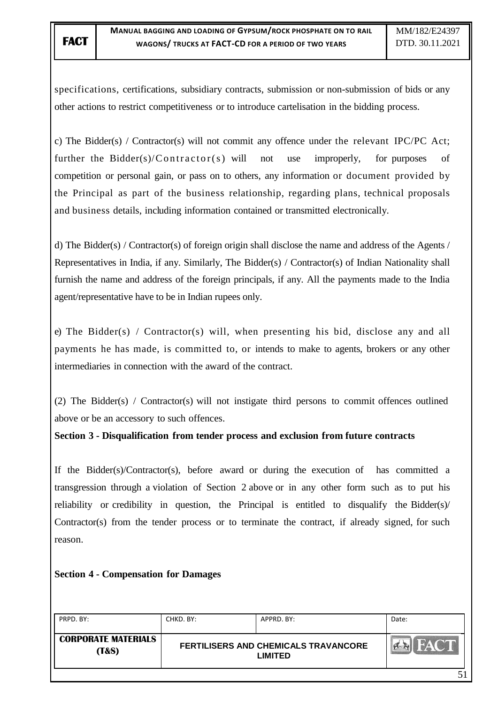specifications, certifications, subsidiary contracts, submission or non-submission of bids or any other actions to restrict competitiveness or to introduce cartelisation in the bidding process.

c) The Bidder(s) / Contractor(s) will not commit any offence under the relevant IPC/PC Act; further the Bidder(s)/Contractor(s) will not use improperly, for purposes of competition or personal gain, or pass on to others, any information or document provided by the Principal as part of the business relationship, regarding plans, technical proposals and business details, including information contained or transmitted electronically.

d) The Bidder(s) / Contractor(s) of foreign origin shall disclose the name and address of the Agents / Representatives in India, if any. Similarly, The Bidder(s) / Contractor(s) of Indian Nationality shall furnish the name and address of the foreign principals, if any. All the payments made to the India agent/representative have to be in Indian rupees only.

e) The Bidder(s) / Contractor(s) will, when presenting his bid, disclose any and all payments he has made, is committed to, or intends to make to agents, brokers or any other intermediaries in connection with the award of the contract.

(2) The Bidder(s) / Contractor(s) will not instigate third persons to commit offences outlined above or be an accessory to such offences.

**Section 3 - Disqualification from tender process and exclusion from future contracts**

If the Bidder(s)/Contractor(s), before award or during the execution of has committed a transgression through a violation of Section 2 above or in any other form such as to put his reliability or credibility in question, the Principal is entitled to disqualify the Bidder(s)/ Contractor(s) from the tender process or to terminate the contract, if already signed, for such reason.

## **Section 4 - Compensation for Damages**

| PRPD. BY:                                      | CHKD. BY:                                              | APPRD, BY: | Date: |
|------------------------------------------------|--------------------------------------------------------|------------|-------|
| <b>CORPORATE MATERIALS</b><br><b>(T&amp;S)</b> | FERTILISERS AND CHEMICALS TRAVANCORE<br><b>LIMITED</b> |            | FACT  |
|                                                |                                                        |            |       |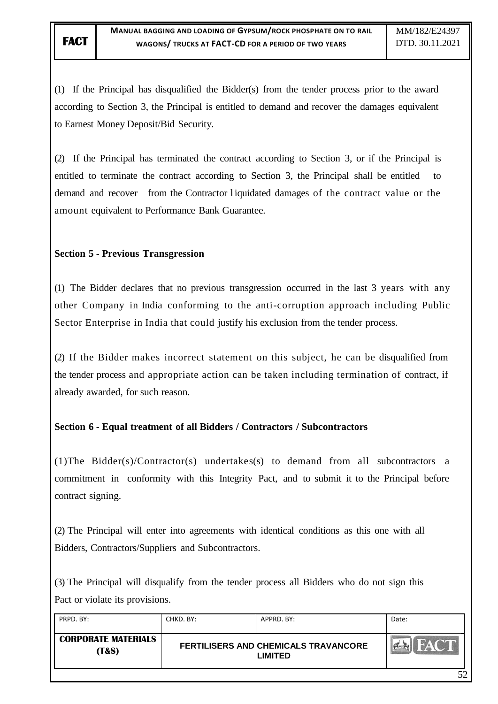(1) If the Principal has disqualified the Bidder(s) from the tender process prior to the award according to Section 3, the Principal is entitled to demand and recover the damages equivalent to Earnest Money Deposit/Bid Security.

(2) If the Principal has terminated the contract according to Section 3, or if the Principal is entitled to terminate the contract according to Section 3, the Principal shall be entitled to demand and recover from the Contractor liquidated damages of the contract value or the amount equivalent to Performance Bank Guarantee.

#### **Section 5 - Previous Transgression**

(1) The Bidder declares that no previous transgression occurred in the last 3 years with any other Company in India conforming to the anti-corruption approach including Public Sector Enterprise in India that could justify his exclusion from the tender process.

(2) If the Bidder makes incorrect statement on this subject, he can be disqualified from the tender process and appropriate action can be taken including termination of contract, if already awarded, for such reason.

## **Section 6 - Equal treatment of all Bidders / Contractors / Subcontractors**

(1)The Bidder(s)/Contractor(s) undertakes(s) to demand from all subcontractors a commitment in conformity with this Integrity Pact, and to submit it to the Principal before contract signing.

(2) The Principal will enter into agreements with identical conditions as this one with all Bidders, Contractors/Suppliers and Subcontractors.

(3) The Principal will disqualify from the tender process all Bidders who do not sign this Pact or violate its provisions.

| PRPD. BY:                           | CHKD. BY: | APPRD. BY:                                                    | Date: |
|-------------------------------------|-----------|---------------------------------------------------------------|-------|
| <b>CORPORATE MATERIALS</b><br>(T&S) |           | <b>FERTILISERS AND CHEMICALS TRAVANCORE</b><br><b>LIMITED</b> |       |
|                                     |           |                                                               | ເາ    |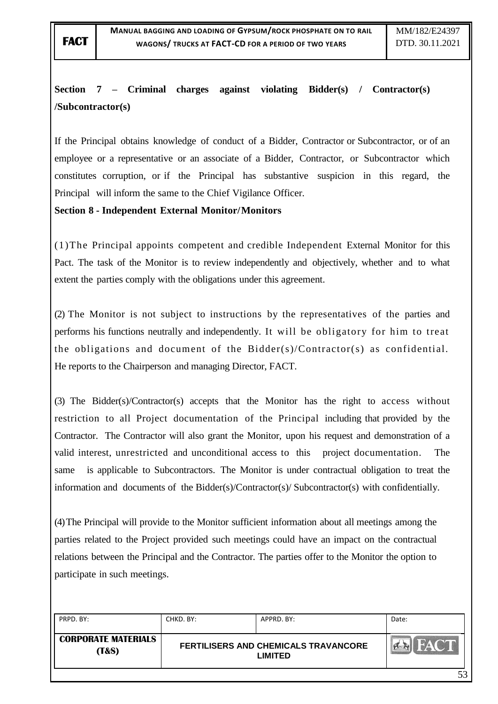# **Section 7 – Criminal charges against violating Bidder(s) / Contractor(s) /Subcontractor(s)**

If the Principal obtains knowledge of conduct of a Bidder, Contractor or Subcontractor, or of an employee or a representative or an associate of a Bidder, Contractor, or Subcontractor which constitutes corruption, or if the Principal has substantive suspicion in this regard, the Principal will inform the same to the Chief Vigilance Officer.

#### **Section 8 - Independent External Monitor/Monitors**

(1)The Principal appoints competent and credible Independent External Monitor for this Pact. The task of the Monitor is to review independently and objectively, whether and to what extent the parties comply with the obligations under this agreement.

(2) The Monitor is not subject to instructions by the representatives of the parties and performs his functions neutrally and independently. It will be obligatory for him to treat the obligations and document of the Bidder(s)/Contractor(s) as confidential. He reports to the Chairperson and managing Director, FACT.

(3) The Bidder(s)/Contractor(s) accepts that the Monitor has the right to access without restriction to all Project documentation of the Principal including that provided by the Contractor. The Contractor will also grant the Monitor, upon his request and demonstration of a valid interest, unrestricted and unconditional access to this project documentation. The same is applicable to Subcontractors. The Monitor is under contractual obligation to treat the information and documents of the Bidder(s)/Contractor(s)/ Subcontractor(s) with confidentially.

(4)The Principal will provide to the Monitor sufficient information about all meetings among the parties related to the Project provided such meetings could have an impact on the contractual relations between the Principal and the Contractor. The parties offer to the Monitor the option to participate in such meetings.

| PRPD. BY:                                      | CHKD. BY: | APPRD. BY:                                                    | Date:       |
|------------------------------------------------|-----------|---------------------------------------------------------------|-------------|
| <b>CORPORATE MATERIALS</b><br><b>(T&amp;S)</b> |           | <b>FERTILISERS AND CHEMICALS TRAVANCORE</b><br><b>LIMITED</b> | <b>FACT</b> |
|                                                |           |                                                               | 53          |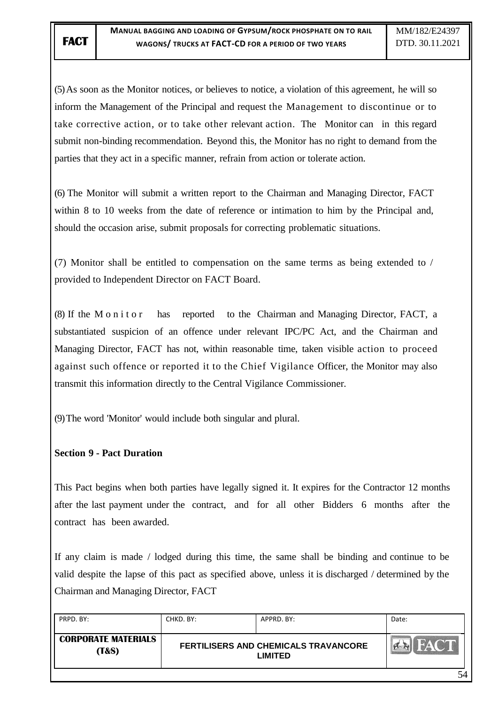(5)As soon as the Monitor notices, or believes to notice, a violation of this agreement, he will so inform the Management of the Principal and request the Management to discontinue or to take corrective action, or to take other relevant action. The Monitor can in this regard submit non-binding recommendation. Beyond this, the Monitor has no right to demand from the parties that they act in a specific manner, refrain from action or tolerate action.

(6) The Monitor will submit a written report to the Chairman and Managing Director, FACT within 8 to 10 weeks from the date of reference or intimation to him by the Principal and, should the occasion arise, submit proposals for correcting problematic situations.

(7) Monitor shall be entitled to compensation on the same terms as being extended to / provided to Independent Director on FACT Board.

(8) If the M o n i t o r has reported to the Chairman and Managing Director, FACT, a substantiated suspicion of an offence under relevant IPC/PC Act, and the Chairman and Managing Director, FACT has not, within reasonable time, taken visible action to proceed against such offence or reported it to the Chief Vigilance Officer, the Monitor may also transmit this information directly to the Central Vigilance Commissioner.

(9)The word 'Monitor' would include both singular and plural.

#### **Section 9 - Pact Duration**

This Pact begins when both parties have legally signed it. It expires for the Contractor 12 months after the last payment under the contract, and for all other Bidders 6 months after the contract has been awarded.

If any claim is made / lodged during this time, the same shall be binding and continue to be valid despite the lapse of this pact as specified above, unless it is discharged / determined by the Chairman and Managing Director, FACT

| PRPD, BY:                                      | CHKD, BY: | APPRD, BY:                                                    | Date: |
|------------------------------------------------|-----------|---------------------------------------------------------------|-------|
| <b>CORPORATE MATERIALS</b><br><b>(T&amp;S)</b> |           | <b>FERTILISERS AND CHEMICALS TRAVANCORE</b><br><b>LIMITED</b> | FACT  |
|                                                |           |                                                               | 54    |